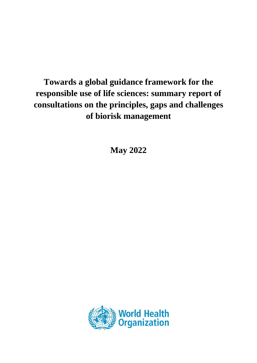# **Towards a global guidance framework for the responsible use of life sciences: summary report of consultations on the principles, gaps and challenges of biorisk management**

**May 2022**

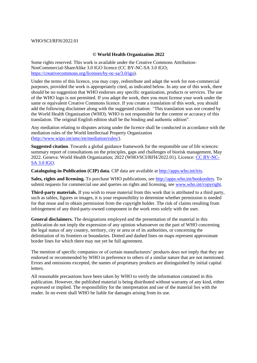#### WHO/SCI/RFH/2022.01

#### **© World Health Organization 2022**

Some rights reserved. This work is available under the Creative Commons Attribution-NonCommercial-ShareAlike 3.0 IGO licence (CC BY-NC-SA 3.0 IGO; [https://creativecommons.org/licenses/by-nc-sa/3.0/igo\)](https://creativecommons.org/licenses/by-nc-sa/3.0/igo).

Under the terms of this licence, you may copy, redistribute and adapt the work for non-commercial purposes, provided the work is appropriately cited, as indicated below. In any use of this work, there should be no suggestion that WHO endorses any specific organization, products or services. The use of the WHO logo is not permitted. If you adapt the work, then you must license your work under the same or equivalent Creative Commons licence. If you create a translation of this work, you should add the following disclaimer along with the suggested citation: *"*This translation was not created by the World Health Organization (WHO). WHO is not responsible for the content or accuracy of this translation. The original English edition shall be the binding and authentic edition".

Any mediation relating to disputes arising under the licence shall be conducted in accordance with the mediation rules of the World Intellectual Property Organization [\(http://www.wipo.int/amc/en/mediation/rules/\)](http://www.wipo.int/amc/en/mediation/rules/).

**Suggested citation**. Towards a global guidance framework for the responsible use of life sciences: summary report of consultations on the principles, gaps and challenges of biorisk management, May 2022. Geneva: World Health Organization; 2022 (WHO/SCI/RFH/2022.01). Licence: CC [BY-NC-](https://creativecommons.org/licenses/by-nc-sa/3.0/igo/)SA 3.0 [IGO.](https://creativecommons.org/licenses/by-nc-sa/3.0/igo/)

**Cataloguing-in-Publication (CIP) data.** CIP data are available at [http://apps.who.int/iris.](http://apps.who.int/iris/)

**Sales, rights and licensing.** To purchase WHO publications, see [http://apps.who.int/bookorders.](http://apps.who.int/bookorders) To submit requests for commercial use and queries on rights and licensing, see [www.who.int/copyright.](http://www.who.int/copyright)

**Third-party materials.** If you wish to reuse material from this work that is attributed to a third party, such as tables, figures or images, it is your responsibility to determine whether permission is needed for that reuse and to obtain permission from the copyright holder. The risk of claims resulting from infringement of any third-party-owned component in the work rests solely with the user.

**General disclaimers.** The designations employed and the presentation of the material in this publication do not imply the expression of any opinion whatsoever on the part of WHO concerning the legal status of any country, territory, city or area or of its authorities, or concerning the delimitation of its frontiers or boundaries. Dotted and dashed lines on maps represent approximate border lines for which there may not yet be full agreement.

The mention of specific companies or of certain manufacturers' products does not imply that they are endorsed or recommended by WHO in preference to others of a similar nature that are not mentioned. Errors and omissions excepted, the names of proprietary products are distinguished by initial capital letters.

All reasonable precautions have been taken by WHO to verify the information contained in this publication. However, the published material is being distributed without warranty of any kind, either expressed or implied. The responsibility for the interpretation and use of the material lies with the reader. In no event shall WHO be liable for damages arising from its use.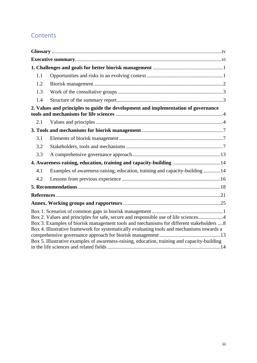# **Contents**

| 1.1                                                                                                                                                                                                                                                                                                                                                                           |  |
|-------------------------------------------------------------------------------------------------------------------------------------------------------------------------------------------------------------------------------------------------------------------------------------------------------------------------------------------------------------------------------|--|
| 1.2                                                                                                                                                                                                                                                                                                                                                                           |  |
| 1.3                                                                                                                                                                                                                                                                                                                                                                           |  |
| 1.4                                                                                                                                                                                                                                                                                                                                                                           |  |
| 2. Values and principles to guide the development and implementation of governance                                                                                                                                                                                                                                                                                            |  |
| 2.1                                                                                                                                                                                                                                                                                                                                                                           |  |
|                                                                                                                                                                                                                                                                                                                                                                               |  |
| 3.1                                                                                                                                                                                                                                                                                                                                                                           |  |
| 3.2                                                                                                                                                                                                                                                                                                                                                                           |  |
| 3.3                                                                                                                                                                                                                                                                                                                                                                           |  |
|                                                                                                                                                                                                                                                                                                                                                                               |  |
| Examples of awareness-raising, education, training and capacity-building 14<br>4.1                                                                                                                                                                                                                                                                                            |  |
| 4.2                                                                                                                                                                                                                                                                                                                                                                           |  |
|                                                                                                                                                                                                                                                                                                                                                                               |  |
|                                                                                                                                                                                                                                                                                                                                                                               |  |
|                                                                                                                                                                                                                                                                                                                                                                               |  |
| Box 2. Values and principles for safe, secure and responsible use of life sciences4<br>Box 3. Examples of biorisk management tools and mechanisms for different stakeholders  8<br>Box 4. Illustrative framework for systematically evaluating tools and mechanisms towards a<br>Box 5. Illustrative examples of awareness-raising, education, training and capacity-building |  |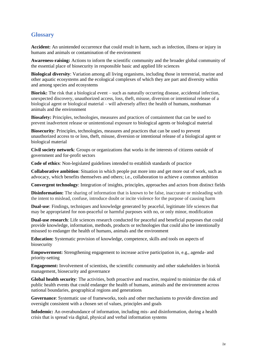# <span id="page-3-0"></span>**Glossary**

**Accident:** An unintended occurrence that could result in harm, such as infection, illness or injury in humans and animals or contamination of the environment

**Awareness-raising:** Actions to inform the scientific community and the broader global community of the essential place of biosecurity in responsible basic and applied life sciences

**Biological diversity**: Variation among all living organisms, including those in terrestrial, marine and other aquatic ecosystems and the ecological complexes of which they are part and diversity within and among species and ecosystems

**Biorisk:** The risk that a biological event – such as naturally occurring disease, accidental infection, unexpected discovery, unauthorized access, loss, theft, misuse, diversion or intentional release of a biological agent or biological material – will adversely affect the health of humans, nonhuman animals and the environment

**Biosafety:** Principles, technologies, measures and practices of containment that can be used to prevent inadvertent release or unintentional exposure to biological agents or biological material

**Biosecurity**: Principles, technologies, measures and practices that can be used to prevent unauthorized access to or loss, theft, misuse, diversion or intentional release of a biological agent or biological material

**Civil society network**: Groups or organizations that works in the interests of citizens outside of government and for-profit sectors

**Code of ethics**: Non-legislated guidelines intended to establish standards of practice

**Collaborative ambition**: Situation in which people put more into and get more out of work, such as advocacy, which benefits themselves and others; i.e., collaboration to achieve a common ambition

**Convergent technology**: Integration of insights, principles, approaches and actors from distinct fields

**Disinformation:** The sharing of information that is known to be false, inaccurate or misleading with the intent to mislead, confuse, introduce doubt or incite violence for the purpose of causing harm

**Dual-use**: Findings, techniques and knowledge generated by peaceful, legitimate life sciences that may be appropriated for non-peaceful or harmful purposes with no, or only minor, modification

**Dual-use research**: Life sciences research conducted for peaceful and beneficial purposes that could provide knowledge, information, methods, products or technologies that could also be intentionally misused to endanger the health of humans, animals and the environment

**Education:** Systematic provision of knowledge, competence, skills and tools on aspects of biosecurity

**Empowerment:** Strengthening engagement to increase active participation in, e.g., agenda- and priority-setting

**Engagement:** Involvement of scientists, the scientific community and other stakeholders in biorisk management, biosecurity and governance

**Global health security**: The activities, both proactive and reactive, required to minimize the risk of public health events that could endanger the health of humans, animals and the environment across national boundaries, geographical regions and generations

**Governance**: Systematic use of frameworks, tools and other mechanisms to provide direction and oversight consistent with a chosen set of values, principles and goals

**Infodemic:** An overabundance of information, including mis- and disinformation, during a health crisis that is spread via digital, physical and verbal information systems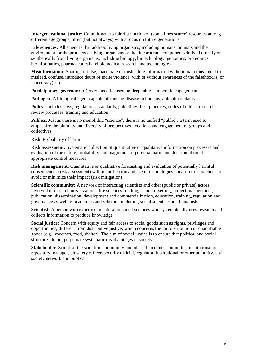**Intergenerational justice:** Commitment to fair distribution of (sometimes scarce) resources among different age groups, often (but not always) with a focus on future generations

**Life sciences:** All sciences that address living organisms, including humans, animals and the environment, or the products of living organisms or that incorporate components derived directly or synthetically from living organisms, including biology, biotechnology, genomics, proteomics, bioinformatics, pharmaceutical and biomedical research and technologies

**Misinformation:** Sharing of false, inaccurate or misleading information without malicious intent to mislead, confuse, introduce doubt or incite violence, with or without awareness of the falsehood(s) or inaccuracy(ies)

**Participatory governance:** Governance focused on deepening democratic engagement

**Pathogen:** A biological agent capable of causing disease in humans, animals or plants

**Policy**: Includes laws, regulations, standards, guidelines, best practices, codes of ethics, research review processes, training and education

Publics: Just as there is no monolithic "science", there is no unified "public"; a term used to emphasize the plurality and diversity of perspectives, locations and engagement of groups and collectives

**Risk**: Probability of harm

**Risk assessment:** Systematic collection of quantitative or qualitative information on processes and evaluation of the nature, probability and magnitude of potential harm and determination of appropriate control measures

**Risk management**: Quantitative or qualitative forecasting and evaluation of potentially harmful consequences (risk assessment) with identification and use of technologies, measures or practices to avoid or minimize their impact (risk mitigation)

**Scientific community**: A network of interacting scientists and other (public or private) actors involved in research organizations, life sciences funding, standard-setting, project management, publication, dissemination, development and commercialization, education, training, regulation and governance as well as academics and scholars, including social scientists and humanists

Scientist: A person with expertise in natural or social sciences who systematically uses research and collects information to produce knowledge

**Social justice:** Concern with equity and fair access to social goods such as rights, privileges and opportunities; different from distributive justice, which concerns the fair distribution of quantifiable goods (e.g., vaccines, food, shelter). The aim of social justice is to ensure that political and social structures do not perpetuate systematic disadvantages in society

**Stakeholder**: Scientist, the scientific community, member of an ethics committee, institutional or repository manager, biosafety officer, security official, regulator, institutional or other authority, civil society network and publics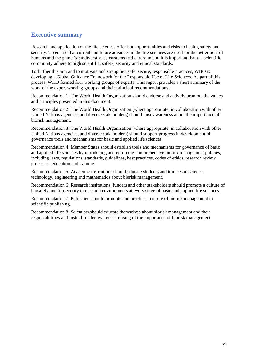# <span id="page-5-0"></span>**Executive summary**

Research and application of the life sciences offer both opportunities and risks to health, safety and security. To ensure that current and future advances in the life sciences are used for the betterment of humans and the planet's biodiversity, ecosystems and environment, it is important that the scientific community adhere to high scientific, safety, security and ethical standards.

To further this aim and to motivate and strengthen safe, secure, responsible practices, WHO is developing a Global Guidance Framework for the Responsible Use of Life Sciences. As part of this process, WHO formed four working groups of experts. This report provides a short summary of the work of the expert working groups and their principal recommendations.

Recommendation 1: The World Health Organization should endorse and actively promote the values and principles presented in this document.

Recommendation 2: The World Health Organization (where appropriate, in collaboration with other United Nations agencies, and diverse stakeholders) should raise awareness about the importance of biorisk management.

Recommendation 3: The World Health Organization (where appropriate, in collaboration with other United Nations agencies, and diverse stakeholders) should support progress in development of governance tools and mechanisms for basic and applied life sciences.

Recommendation 4: Member States should establish tools and mechanisms for governance of basic and applied life sciences by introducing and enforcing comprehensive biorisk management policies, including laws, regulations, standards, guidelines, best practices, codes of ethics, research review processes, education and training.

Recommendation 5: Academic institutions should educate students and trainees in science, technology, engineering and mathematics about biorisk management.

Recommendation 6: Research institutions, funders and other stakeholders should promote a culture of biosafety and biosecurity in research environments at every stage of basic and applied life sciences.

Recommendation 7: Publishers should promote and practise a culture of biorisk management in scientific publishing.

Recommendation 8: Scientists should educate themselves about biorisk management and their responsibilities and foster broader awareness-raising of the importance of biorisk management.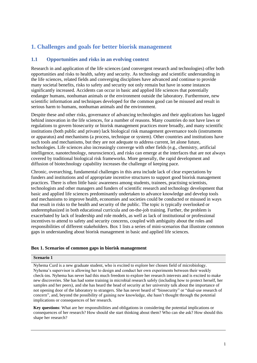# <span id="page-6-0"></span>**1. Challenges and goals for better biorisk management**

### <span id="page-6-1"></span>**1.1 Opportunities and risks in an evolving context**

Research in and application of the life sciences (and convergent research and technologies) offer both opportunities and risks to health, safety and security. As technology and scientific understanding in the life sciences, related fields and converging disciplines have advanced and continue to provide many societal benefits, risks to safety and security not only remain but have in some instances significantly increased. Accidents can occur in basic and applied life sciences that potentially endanger humans, nonhuman animals or the environment outside the laboratory. Furthermore, new scientific information and techniques developed for the common good can be misused and result in serious harm to humans, nonhuman animals and the environment.

Despite these and other risks, governance of advancing technologies and their applications has lagged behind innovation in the life sciences, for a number of reasons. Many countries do not have laws or regulations to govern biosecurity or biorisk management practices more broadly, and many scientific institutions (both public and private) lack biological risk management governance tools (instruments or apparatus) and mechanisms (a process, technique or system). Other countries and institutions have such tools and mechanisms, but they are not adequate to address current, let alone future, technologies. Life sciences also increasingly converge with other fields (e.g., chemistry, artificial intelligence, nanotechnology, neuroscience), and risks can emerge at the interfaces that are not always covered by traditional biological risk frameworks. More generally, the rapid development and diffusion of biotechnology capability increases the challenge of keeping pace.

Chronic, overarching, fundamental challenges in this area include lack of clear expectations by funders and institutions and of appropriate incentive structures to support good biorisk management practices. There is often little basic awareness among students, trainees, practising scientists, technologists and other managers and funders of scientific research and technology development that basic and applied life sciences predominantly undertaken to advance knowledge and develop tools and mechanisms to improve health, economies and societies could be conducted or misused in ways that result in risks to the health and security of the public. The topic is typically overlooked or underemphasized in both educational curricula and on-the-job training. Further, the problem is exacerbated by lack of leadership and role models, as well as lack of institutional or professional incentives to attend to safety and security concerns, coupled with ambiguity about the roles and responsibilities of different stakeholders. Box 1 lists a series of mini-scenarios that illustrate common gaps in understanding about biorisk management in basic and applied life sciences.

#### <span id="page-6-2"></span>**Box 1. Scenarios of common gaps in biorisk management**

#### **Scenario 1**

Nyhema Curd is a new graduate student, who is excited to explore her chosen field of microbiology. Nyhema's supervisor is allowing her to design and conduct her own experiments between their weekly check-ins. Nyhema has never had this much freedom to explore her research interests and is excited to make new discoveries. She has had some training in microbial research safely (including how to protect herself, her samples and her peers), and she has heard the head of security at her university talk about the importance of not opening door of the laboratory to strangers. She has never heard of "biosecurity" or "dual-use research of concern", and, beyond the possibility of gaining new knowledge, she hasn't thought through the potential implications or consequences of her research.

**Key questions**: What are her responsibilities and obligations in considering the potential implications or consequences of her research? How should she start thinking about them? Who can she ask? How should this shape her research?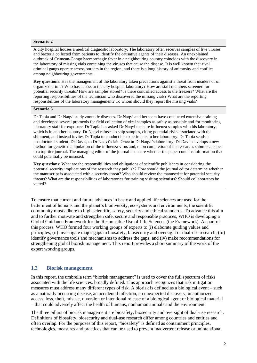#### **Scenario 2**

A city hospital houses a medical diagnostic laboratory. The laboratory often receives samples of live viruses and bacteria collected from patients to identify the causative agents of their diseases. An unexplained outbreak of Crimean-Congo haemorrhagic fever in a neighbouring country coincides with the discovery in the laboratory of missing vials containing the viruses that cause the disease. It is well known that rival criminal gangs operate across borders in the region, and there is a long history of animosity and conflict among neighbouring governments.

**Key questions**: Has the management of the laboratory taken precautions against a threat from insiders or of organized crime? Who has access to the city hospital laboratory? How are staff members screened for potential security threats? How are samples stored? Is there controlled access to the freezers? What are the reporting responsibilities of the technician who discovered the missing vials? What are the reporting responsibilities of the laboratory management? To whom should they report the missing vials?

#### **Scenario 3**

Dr Tapia and Dr Naqvi study zoonotic diseases. Dr Naqvi and her team have conducted extensive training and developed several protocols for field collection of viral samples as safely as possible and for monitoring laboratory staff for exposure. Dr Tapia has asked Dr Naqvi to share influenza samples with his laboratory, which is in another country. Dr Naqvi refuses to ship samples, citing potential risks associated with the shipment, and instead invites Dr Tapia to conduct his experiments in her laboratory. Dr Tapia sends a postdoctoral student, Dr Davis, to Dr Naqvi's lab. Once in Dr Naqvi's laboratory, Dr Davis develops a new method for genetic manipulation of the influenza virus and, upon completion of his research, submits a paper to a top-tier journal. The managing editor of the journal is unsure whether the paper contains information that could potentially be misused.

**Key questions**: What are the responsibilities and obligations of scientific publishers in considering the potential security implications of the research they publish? How should the journal editor determine whether the manuscript is associated with a security threat? Who should review the manuscript for potential security threats? What are the responsibilities of laboratories for training visiting scientists? Should collaborators be vetted?

To ensure that current and future advances in basic and applied life sciences are used for the betterment of humans and the planet's biodiversity, ecosystems and environments, the scientific community must adhere to high scientific, safety, security and ethical standards. To advance this aim and to further motivate and strengthen safe, secure and responsible practices, WHO is developing a Global Guidance Framework for the Responsible Use of Life Sciences (the Framework). As part of this process, WHO formed four working groups of experts to (i) elaborate guiding values and principles; (ii) investigate major gaps in biosafety, biosecurity and oversight of dual-use research; (iii) identify governance tools and mechanisms to address the gaps; and (iv) make recommendations for strengthening global biorisk management. This report provides a short summary of the work of the expert working groups.

#### <span id="page-7-0"></span>**1.2 Biorisk management**

In this report, the umbrella term "biorisk management" is used to cover the full spectrum of risks associated with the life sciences, broadly defined. This approach recognizes that risk mitigation measures must address many different types of risk. A biorisk is defined as a biological event – such as a naturally occurring disease, an accidental infection, an unexpected discovery, unauthorized access, loss, theft, misuse, diversion or intentional release of a biological agent or biological material – that could adversely affect the health of humans, nonhuman animals and the environment.

The three pillars of biorisk management are biosafety, biosecurity and oversight of dual-use research. Definitions of biosafety, biosecurity and dual-use research differ among countries and entities and often overlap. For the purposes of this report, "biosafety" is defined as containment principles, technologies, measures and practices that can be used to prevent inadvertent release or unintentional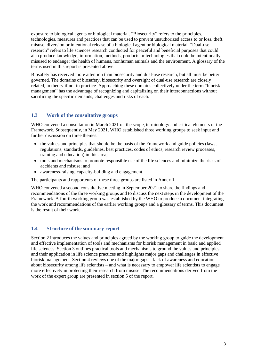exposure to biological agents or biological material. "Biosecurity" refers to the principles, technologies, measures and practices that can be used to prevent unauthorized access to or loss, theft, misuse, diversion or intentional release of a biological agent or biological material. "Dual-use research" refers to life sciences research conducted for peaceful and beneficial purposes that could also produce knowledge, information, methods, products or technologies that could be intentionally misused to endanger the health of humans, nonhuman animals and the environment. A glossary of the terms used in this report is presented above.

Biosafety has received more attention than biosecurity and dual-use research, but all must be better governed. The domains of biosafety, biosecurity and oversight of dual-use research are closely related, in theory if not in practice. Approaching these domains collectively under the term "biorisk management" has the advantage of recognizing and capitalizing on their interconnections without sacrificing the specific demands, challenges and risks of each.

## <span id="page-8-0"></span>**1.3 Work of the consultative groups**

WHO convened a consultation in March 2021 on the scope, terminology and critical elements of the Framework. Subsequently, in May 2021, WHO established three working groups to seek input and further discussion on three themes:

- the values and principles that should be the basis of the Framework and guide policies (laws, regulations, standards, guidelines, best practices, codes of ethics, research review processes, training and education) in this area;
- tools and mechanisms to promote responsible use of the life sciences and minimize the risks of accidents and misuse; and
- awareness-raising, capacity-building and engagement.

The participants and rapporteurs of these three groups are listed in Annex 1.

WHO convened a second consultative meeting in September 2021 to share the findings and recommendations of the three working groups and to discuss the next steps in the development of the Framework. A fourth working group was established by the WHO to produce a document integrating the work and recommendations of the earlier working groups and a glossary of terms. This document is the result of their work.

## <span id="page-8-1"></span>**1.4 Structure of the summary report**

Section 2 introduces the values and principles agreed by the working group to guide the development and effective implementation of tools and mechanisms for biorisk management in basic and applied life sciences. Section 3 outlines practical tools and mechanisms to ground the values and principles and their application in life science practices and highlights major gaps and challenges in effective biorisk management. Section 4 reviews one of the major gaps – lack of awareness and education about biosecurity among life scientists – and what is necessary to empower life scientists to engage more effectively in protecting their research from misuse. The recommendations derived from the work of the expert group are presented in section 5 of the report.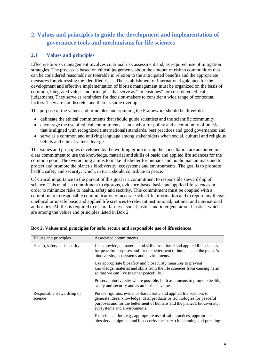# <span id="page-9-0"></span>**2. Values and principles to guide the development and implementation of governance tools and mechanisms for life sciences**

# <span id="page-9-1"></span>**2.1 Values and principles**

Effective biorisk management involves continual risk assessment and, as required, use of mitigation strategies. The process is based on ethical judgements about the amount of risk to communities that can be considered reasonable or tolerable in relation to the anticipated benefits and the appropriate measures for addressing the identified risks. The establishment of international guidance for the development and effective implementation of biorisk management must be organized on the basis of common, integrated values and principles that serve as "touchstones" for considered ethical judgements. They serve as reminders for decision-makers to consider a wide range of contextual factors. They are not discrete, and there is some overlap.

The purpose of the values and principles underpinning the Framework should be threefold:

- delineate the ethical commitments that should guide scientists and the scientific community;
- encourage the use of ethical commitments as an anchor for policy and a community of practice that is aligned with recognized (international) standards, best practices and good governance; and
- serve as a common and unifying language among stakeholders when social, cultural and religious beliefs and ethical values diverge.

The values and principles developed by the working group during the consultation are anchored in a clear commitment to use the knowledge, material and skills of basic and applied life sciences for the common good. The overarching aim is to make life better for humans and nonhuman animals and to protect and promote the planet's biodiversity, ecosystems and environments. The goal is to promote health, safety and security, which, in turn, should contribute to peace.

Of critical importance to the pursuit of this goal is a commitment to responsible stewardship of science. This entails a commitment to rigorous, evidence-based basic and applied life sciences in order to minimize risks to health, safety and security. This commitment must be coupled with a commitment to responsible communication of accurate scientific information and to report any illegal, unethical or unsafe basic and applied life sciences to relevant institutional, national and international authorities. All this is required to ensure fairness, social justice and intergenerational justice, which are among the values and principles listed in Box 2.

| Values and principles                 | Associated commitments                                                                                                                                                                                                                                   |  |
|---------------------------------------|----------------------------------------------------------------------------------------------------------------------------------------------------------------------------------------------------------------------------------------------------------|--|
| Health, safety and security           | Use knowledge, material and skills from basic and applied life sciences<br>for peaceful purposes and for the betterment of humans and the planet's<br>biodiversity, ecosystems and environments.                                                         |  |
|                                       | Use appropriate biosafety and biosecurity measures to prevent<br>knowledge, material and skills from the life sciences from causing harm,<br>so that we can live together peacefully.                                                                    |  |
|                                       | Preserve biodiversity where possible, both as a means to promote health,<br>safety and security and as an intrinsic value.                                                                                                                               |  |
| Responsible stewardship of<br>science | Pursue rigorous, evidence-based basic and applied life sciences to<br>generate ideas, knowledge, data, products or technologies for peaceful<br>purposes and for the betterment of humans and the planet's biodiversity,<br>ecosystems and environments. |  |
|                                       | Exercise caution (e.g., appropriate use of safe practices, appropriate<br>biosafety equipment and biosecurity measures) in planning and pursuing                                                                                                         |  |

<span id="page-9-2"></span>

|  |  |  |  |  | Box 2. Values and principles for safe, secure and responsible use of life sciences |
|--|--|--|--|--|------------------------------------------------------------------------------------|
|--|--|--|--|--|------------------------------------------------------------------------------------|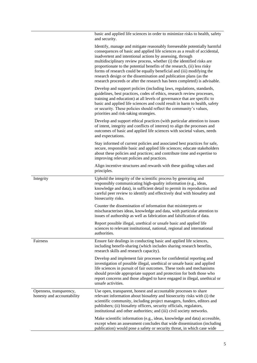basic and applied life sciences in order to minimize risks to health, safety and security. Identify, manage and mitigate reasonably foreseeable potentially harmful consequences of basic and applied life sciences as a result of accidental, inadvertent and intentional actions by assessing, through multidisciplinary review process, whether (i) the identified risks are proportionate to the potential benefits of the research, (ii) less risky forms of research could be equally beneficial and (iii) modifying the research design or the dissemination and publication plans (as the research proceeds or after the research has been completed) is advisable. Develop and support policies (including laws, regulations, standards, guidelines, best practices, codes of ethics, research review processes, training and education) at all levels of governance that are specific to basic and applied life sciences and could result in harm to health, safety or security. These policies should reflect the community's values, priorities and risk-taking strategies. Develop and support ethical practices (with particular attention to issues of intent, integrity and conflicts of interest) to align the processes and outcomes of basic and applied life sciences with societal values, needs and expectations. Stay informed of current policies and associated best practices for safe, secure, responsible basic and applied life sciences; educate stakeholders about these policies and practices; and contribute time and expertise to improving relevant policies and practices. Align incentive structures and rewards with these guiding values and principles. Integrity Uphold the integrity of the scientific process by generating and responsibly communicating high-quality information (e.g., ideas, knowledge and data), in sufficient detail to permit its reproduction and careful peer review to identify and effectively deal with biosafety and biosecurity risks. Counter the dissemination of information that misinterprets or mischaracterises ideas, knowledge and data, with particular attention to issues of authorship as well as fabrication and falsification of data. Report possible illegal, unethical or unsafe basic and applied life sciences to relevant institutional, national, regional and international authorities. Fairness Ensure fair dealings in conducting basic and applied life sciences, including benefit-sharing (which includes sharing research benefits, research skills and research capacity). Develop and implement fair processes for confidential reporting and investigation of possible illegal, unethical or unsafe basic and applied life sciences in pursuit of fair outcomes. These tools and mechanisms should provide appropriate support and protection for both those who report concerns and those alleged to have engaged in illegal, unethical or unsafe activities. Openness, transparency, honesty and accountability Use open, transparent, honest and accountable processes to share relevant information about biosafety and biosecurity risks with (i) the scientific community, including project managers, funders, editors and publishers; (ii) biosafety officers, security officials, regulators, institutional and other authorities; and (iii) civil society networks. Make scientific information (e.g., ideas, knowledge and data) accessible, except when an assessment concludes that wide dissemination (including

publication) would pose a safety or security threat, in which case wide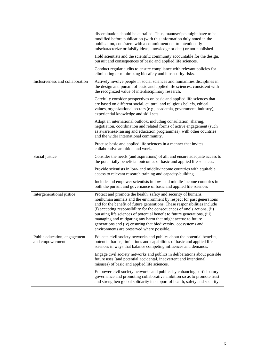|                                                 | dissemination should be curtailed. Thus, manuscripts might have to be<br>modified before publication (with this information duly noted in the<br>publication, consistent with a commitment not to intentionally<br>mischaracterize or falsify ideas, knowledge or data) or not published.                                                                                                                                                                                                                                                                    |
|-------------------------------------------------|--------------------------------------------------------------------------------------------------------------------------------------------------------------------------------------------------------------------------------------------------------------------------------------------------------------------------------------------------------------------------------------------------------------------------------------------------------------------------------------------------------------------------------------------------------------|
|                                                 | Hold scientists and the scientific community accountable for the design,<br>pursuit and consequences of basic and applied life sciences.                                                                                                                                                                                                                                                                                                                                                                                                                     |
|                                                 | Conduct regular audits to ensure compliance with relevant policies for<br>eliminating or minimizing biosafety and biosecurity risks.                                                                                                                                                                                                                                                                                                                                                                                                                         |
| Inclusiveness and collaboration                 | Actively involve people in social sciences and humanities disciplines in<br>the design and pursuit of basic and applied life sciences, consistent with<br>the recognized value of interdisciplinary research.                                                                                                                                                                                                                                                                                                                                                |
|                                                 | Carefully consider perspectives on basic and applied life sciences that<br>are based on different social, cultural and religious beliefs, ethical<br>values, organizational sectors (e.g., academia, government, industry),<br>experiential knowledge and skill sets.                                                                                                                                                                                                                                                                                        |
|                                                 | Adopt an international outlook, including consultation, sharing,<br>negotiation, coordination and related forms of active engagement (such<br>as awareness-raising and education programmes), with other countries<br>and the wider international community.                                                                                                                                                                                                                                                                                                 |
|                                                 | Practise basic and applied life sciences in a manner that invites<br>collaborative ambition and work.                                                                                                                                                                                                                                                                                                                                                                                                                                                        |
| Social justice                                  | Consider the needs (and aspirations) of all, and ensure adequate access to<br>the potentially beneficial outcomes of basic and applied life sciences.                                                                                                                                                                                                                                                                                                                                                                                                        |
|                                                 | Provide scientists in low- and middle-income countries with equitable<br>access to relevant research training and capacity-building.                                                                                                                                                                                                                                                                                                                                                                                                                         |
|                                                 | Include and empower scientists in low- and middle-income countries in<br>both the pursuit and governance of basic and applied life sciences                                                                                                                                                                                                                                                                                                                                                                                                                  |
| Intergenerational justice                       | Protect and promote the health, safety and security of humans,<br>nonhuman animals and the environment by respect for past generations<br>and for the benefit of future generations. These responsibilities include<br>(i) accepting responsibility for the consequences of one's actions, (ii)<br>pursuing life sciences of potential benefit to future generations, (iii)<br>managing and mitigating any harm that might accrue to future<br>generations and (iv) ensuring that biodiversity, ecosystems and<br>environments are preserved where possible. |
| Public education, engagement<br>and empowerment | Educate civil society networks and publics about the potential benefits,<br>potential harms, limitations and capabilities of basic and applied life<br>sciences in ways that balance competing influences and demands.                                                                                                                                                                                                                                                                                                                                       |
|                                                 | Engage civil society networks and publics in deliberations about possible<br>future uses (and potential accidental, inadvertent and intentional<br>misuses) of basic and applied life sciences.                                                                                                                                                                                                                                                                                                                                                              |
|                                                 | Empower civil society networks and publics by enhancing participatory<br>governance and promoting collaborative ambition so as to promote trust<br>and strengthen global solidarity in support of health, safety and security.                                                                                                                                                                                                                                                                                                                               |
|                                                 |                                                                                                                                                                                                                                                                                                                                                                                                                                                                                                                                                              |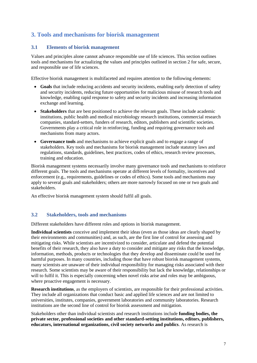# <span id="page-12-0"></span>**3. Tools and mechanisms for biorisk management**

### <span id="page-12-1"></span>**3.1 Elements of biorisk management**

Values and principles alone cannot advance responsible use of life sciences. This section outlines tools and mechanisms for actualizing the values and principles outlined in section 2 for safe, secure, and responsible use of life sciences.

Effective biorisk management is multifaceted and requires attention to the following elements:

- **Goals** that include reducing accidents and security incidents, enabling early detection of safety and security incidents, reducing future opportunities for malicious misuse of research tools and knowledge, enabling rapid response to safety and security incidents and increasing information exchange and learning.
- **Stakeholders** that are best positioned to achieve the relevant goals. These include academic institutions, public health and medical microbiology research institutions, commercial research companies, standard-setters, funders of research, editors, publishers and scientific societies. Governments play a critical role in reinforcing, funding and requiring governance tools and mechanisms from many actors.
- **Governance tools** and mechanisms to achieve explicit goals and to engage a range of stakeholders. Key tools and mechanisms for biorisk management include statutory laws and regulations, standards, guidelines, best practices, codes of ethics, research review processes, training and education.

Biorisk management systems necessarily involve many governance tools and mechanisms to reinforce different goals. The tools and mechanisms operate at different levels of formality, incentives and enforcement (e.g., requirements, guidelines or codes of ethics). Some tools and mechanisms may apply to several goals and stakeholders; others are more narrowly focused on one or two goals and stakeholders.

An effective biorisk management system should fulfil all goals.

### <span id="page-12-2"></span>**3.2 Stakeholders, tools and mechanisms**

Different stakeholders have different roles and options in biorisk management.

**Individual scientists** conceive and implement their ideas (even as those ideas are clearly shaped by their environments and communities) and, as such, are the first line of control for assessing and mitigating risks. While scientists are incentivized to consider, articulate and defend the potential benefits of their research, they also have a duty to consider and mitigate any risks that the knowledge, information, methods, products or technologies that they develop and disseminate could be used for harmful purposes. In many countries, including those that have robust biorisk management systems, many scientists are unaware of their individual responsibility for managing risks associated with their research. Some scientists may be aware of their responsibility but lack the knowledge, relationships or will to fulfil it. This is especially concerning when novel risks arise and roles may be ambiguous, where proactive engagement is necessary.

**Research institutions**, as the employers of scientists, are responsible for their professional activities. They include all organizations that conduct basic and applied life sciences and are not limited to universities, institutes, companies, government laboratories and community laboratories. Research institutions are the second line of control for biorisk assessment and mitigation.

Stakeholders other than individual scientists and research institutions include **funding bodies, the private sector, professional societies and other standard-setting institutions, editors, publishers, educators, international organizations, civil society networks and publics**. As research is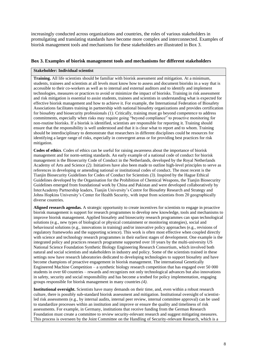increasingly conducted across organizations and countries, the roles of various stakeholders in promulgating and translating standards have become more complex and interconnected. Examples of biorisk management tools and mechanisms for these stakeholders are illustrated in Box 3.

#### <span id="page-13-0"></span>**Box 3. Examples of biorisk management tools and mechanisms for different stakeholders**

#### **Stakeholder: Individual scientist**

**Training.** All life scientists should be familiar with biorisk assessment and mitigation. At a minimum, students, trainees and scientists at all levels must know how to assess and document biorisks in a way that is accessible to their co-workers as well as to internal and external auditors and to identify and implement technologies, measures or practices to avoid or minimize the impact of biorisks. Training in risk assessment and risk mitigation is essential to assist students, trainees and scientists in understanding what is expected for effective biorisk management and how to achieve it. For example, the International Federation of Biosafety Associations facilitates training in partnership with national biosafety organizations and provides certification for biosafety and biosecurity professionals *(1)*. Critically, training must go beyond competence to address commitments, especially when risks may require going "beyond compliance" to proactive monitoring for non-routine biorisks. If a biorisk is identified, scientists are responsible for reporting it. Training should ensure that the responsibility is well understood and that it is clear what to report and to whom. Training should be interdisciplinary to demonstrate that researchers in different disciplines could be resources for identifying a larger range of risks, especially in convergent areas or for providing best practices for risk mitigation.

**Codes of ethics**. Codes of ethics can be useful for raising awareness about the importance of biorisk management and for norm-setting standards. An early example of a national code of conduct for biorisk management is the Biosecurity Code of Conduct in the Netherlands, developed by the Royal Netherlands Academy of Arts and Science *(2)*. Initiatives have also been made to outline high-level principles to serve as references in developing or amending national or institutional codes of conduct. The most recent is the Tianjin Biosecurity Guidelines for Codes of Conduct for Scientists *(3)*. Inspired by the Hague Ethical Guidelines developed by the Organisation for the Prohibition of Chemical Weapons, the Tianjin Biosecurity Guidelines emerged from foundational work by China and Pakistan and were developed collaboratively by InterAcademy Partnership leaders, Tianjin University's Centre for Biosafety Research and Strategy and Johns Hopkins University's Center for Health Security, with input from scientists from 20 geographically diverse countries.

**Aligned research agendas.** A strategic opportunity to create incentives for scientists to engage in proactive biorisk management is support for research programmes to develop new knowledge, tools and mechanisms to improve biorisk management. Applied biosafety and biosecurity research programmes can span technological solutions (e.g., new types of biological or physical containment or monitoring strategies), social and behavioural solutions (e.g., innovations in training) and/or innovative policy approaches (e.g., revisions of regulatory frameworks and the supporting science). This work is often most effective when coupled directly with science and technology research programmes in their earliest stages of development. One example is the integrated policy and practices research programme supported over 10 years by the multi-university US National Science Foundation Synthetic Biology Engineering Research Consortium, which involved both natural and social scientists and stakeholders in industry and policy. Some of the scientists trained in these settings now have research laboratories dedicated to developing technologies to support biosafety and have become champions of proactive engagement in biorisk management. The international Genetically Engineered Machine Competition – a synthetic biology research competition that has engaged over 50 000 students in over 60 countries – rewards and recognizes not only technological advances but also innovations in safety, security and social responsibility and has become a testbed for policy implementation, engaging groups responsible for biorisk management in many countries *(4)*.

**Institutional oversight.** Scientists have many demands on their time, and, even within a robust research culture, there is possibly sub-standard biorisk assessment and mitigation. Institutional oversight of scientistled risk assessments (e.g., by internal audits, internal peer review, internal committee approval) can be used to standardize processes within an institution and improve or ensure the quality and timeliness of risk assessments. For example, in Germany, institutions that receive funding from the German Research Foundation must create a committee to review security-relevant research and suggest mitigating measures. This process is overseen by the Joint Committee on the Handling of Security-relevant Research, which is a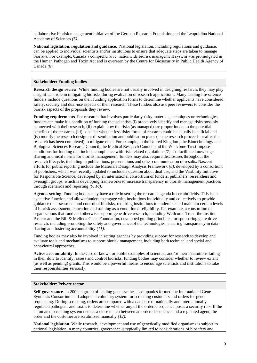collaborative biorisk management initiative of the German Research Foundation and the Leopoldina National Academy of Sciences *(5)*.

**National legislation, regulation and guidance.** National legislation, including regulations and guidance, can be applied to individual scientists and/or institutions to ensure that adequate steps are taken to manage biorisks. For example, Canada's comprehensive, nationwide biorisk management system was promulgated in the Human Pathogen and Toxin Act and is overseen by the Centre for Biosecurity in Public Health Agency of Canada *(6)*.

#### **Stakeholder: Funding bodies**

**Research design review**. While funding bodies are not usually involved in designing research, they may play a significant role in mitigating biorisks during evaluation of research applications. Many leading life science funders include questions on their funding application forms to determine whether applicants have considered safety, security and dual-use aspects of their research. These funders also ask peer reviewers to consider the biorisk aspects of the proposals they review.

**Funding requirements**. For research that involves particularly risky materials, techniques or technologies, funders can make it a condition of funding that scientists (i) proactively identify and manage risks possibly connected with their research, (ii) explain how the risks (as managed) are proportionate to the potential benefits of the research, (iii) consider whether less risky forms of research could be equally beneficial and (iv) modify the research design or dissemination and publication plans (as the research proceeds or after the research has been completed) to mitigate risks. For example, in the United Kingdom, the Biotechnology and Biological Sciences Research Council, the Medical Research Council and the Wellcome Trust impose conditions for funding that include compliance with risk-related regulations *(7)*. To facilitate knowledgesharing and instil norms for biorisk management, funders may also require disclosures throughout the research lifecycle, including in publications, presentations and other communication of results. Nascent efforts for public reporting include the Materials Design Analysis Framework *(8)*, developed by a consortium of publishers, which was recently updated to include a question about dual use, and the Visibility Initiative for Responsible Science, developed by an international consortium of funders, publishers, researchers and oversight groups, which is developing frameworks to increase transparency in biorisk management practices through scenarios and reporting *(9, 10)*.

**Agenda-setting**. Funding bodies may have a role in setting the research agenda in certain fields. This is an executive function and allows funders to engage with institutions individually and collectively to provide guidance on assessment and control of biorisks, requiring institutions to undertake and maintain certain levels of biorisk assessment, education and training as a condition of eligibility. For example, a consortium of organizations that fund and otherwise support gene drive research, including Wellcome Trust, the Institut Pasteur and the Bill & Melinda Gates Foundation, developed guiding principles for sponsoring gene drive research, including promoting the safety and governance of the technologies, ensuring transparency in datasharing and fostering accountability *(11)*.

Funding bodies may also be involved in setting agendas by providing support for research to develop and evaluate tools and mechanisms to support biorisk management, including both technical and social and behavioural approaches.

**Active accountability**. In the case of known or public examples of scientists and/or their institutions failing in their duty to identify, assess and control biorisks, funding bodies may consider whether to review extant (as well as pending) grants. This would be a powerful means to encourage scientists and institutions to take their responsibilities seriously.

#### **Stakeholder: Private sector**

**Self-governance**. In 2009, a group of leading gene synthesis companies formed the International Gene Synthesis Consortium and adopted a voluntary system for screening customers and orders for gene sequencing. During screening, orders are compared with a database of nationally and internationally regulated pathogens and toxins to determine whether any of the ordered sequence poses a security risk. If the automated screening system detects a close match between an ordered sequence and a regulated agent, the order and the customer are scrutinized manually *(12)*.

**National legislation**. While research, development and use of genetically modified organisms is subject to national legislation in many countries, governance is typically limited to considerations of biosafety and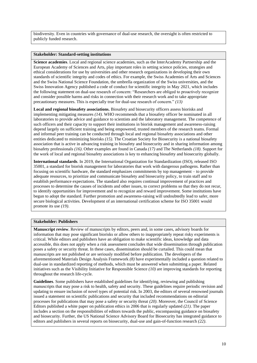biodiversity. Even in countries with governance of dual-use research, the oversight is often restricted to publicly funded research.

#### **Stakeholder: Standard-setting institutions**

**Science academies**. Local and regional science academies, such as the InterAcademy Partnership and the European Academy of Sciences and Arts, play important roles in setting science policies, strategies and ethical considerations for use by universities and other research organizations in developing their own standards of scientific integrity and codes of ethics. For example, the Swiss Academies of Arts and Sciences and the Swiss National Science Foundation, the umbrella organization of the Swiss universities, and the Swiss Innovation Agency published a code of conduct for scientific integrity in May 2021, which includes the following statement on dual-use research of concern: "Researchers are obliged to proactively recognize and consider possible harms and risks in connection with their research work and to take appropriate precautionary measures. This is especially true for dual-use research of concern." *(13)*

**Local and regional biosafety associations.** Biosafety and biosecurity officers assess biorisks and implementing mitigating measures *(14)*. WHO recommends that a biosafety officer be nominated in all laboratories to provide advice and guidance to scientists and the laboratory management. The competence of such officers and their capacity to support their institutions in biorisk management and awareness-raising depend largely on sufficient training and being empowered, trusted members of the research teams. Formal and informal peer training can be conducted through local and regional biosafety associations and other entities dedicated to minimizing biorisks *(15)*. The Croatian Society for Biosecurity is a national biosafety association that is active in advancing training in biosafety and biosecurity and in sharing information among biosafety professionals *(16)*. Other examples are found in Canada *(17)* and The Netherlands *(18)*. Support for the work of local and regional biosafety associations is key to enhancing biosafety and biosecurity globally.

**International standards**. In 2019, the International Organization for Standardization (ISO), released ISO 35001, a standard for biorisk management for laboratories that work with dangerous pathogens. Rather than focusing on scientific hardware, the standard emphasizes commitments by top management – to provide adequate resources, to prioritize and communicate biosafety and biosecurity policy, to train staff and to establish performance expectations. The standard also requires continual improvement of practices and processes to determine the causes of incidents and other issues, to correct problems so that they do not recur, to identify opportunities for improvement and to recognize and reward improvement. Some institutions have begun to adopt the standard. Further promotion and awareness-raising will undoubtedly lead to safer, more secure biological activities. Development of an international certification scheme for ISO 35001 would promote its use *(19)*.

#### **Stakeholder: Publishers**

**Manuscript review**. Review of manuscripts by editors, peers and, in some cases, advisory boards for information that may pose significant biorisks or allow others to inappropriately repeat risky experiments is critical. While editors and publishers have an obligation to make scientific ideas, knowledge and data accessible, this does not apply when a risk assessment concludes that wide dissemination through publication poses a safety or security threat. In these cases, dissemination should be curtailed. This could mean that manuscripts are not published or are seriously modified before publication. The developers of the aforementioned Materials Design Analysis Framework *(8)* have experimentally included a question related to dual-use in standardized reporting of methods, which must be answered when submitting a paper. Related initiatives such as the Visibility Initiative for Responsible Science *(10)* are improving standards for reporting throughout the research life-cycle.

**Guidelines**. Some publishers have established guidelines for identifying, reviewing and publishing manuscripts that may pose a risk to health, safety and security. These guidelines require periodic revision and updating to ensure inclusion of novel types of potential risk. In 2003, the editors of several renowned journals issued a statement on scientific publications and security that included recommendations on editorial processes for publications that may pose a safety or security threat *(20)*. Moreover, the Council of Science Editors published a white paper on publication ethics in 2006 that is regularly updated *(21)*. The paper includes a section on the responsibilities of editors towards the public, encompassing guidance on biosafety and biosecurity. Further, the US National Science Advisory Board for Biosecurity has integrated guidance to editors and publishers in several reports on biosecurity, dual-use and gain-of-function research *(22)*.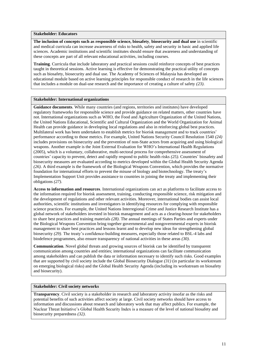#### **Stakeholder: Educators**

**The inclusion of concepts such as responsible science, biosafety**, **biosecurity and dual use** in scientific and medical curricula can increase awareness of risks to health, safety and security in basic and applied life sciences. Academic institutions and scientific institutes should ensure that awareness and understanding of these concepts are part of all relevant educational activities, including courses.

**Training**. Curricula that include laboratory and practical sessions could reinforce concepts of best practices taught in theoretical sessions. Active learning is effective for demonstrating the practical utility of concepts such as biosafety, biosecurity and dual use. The Academy of Sciences of Malaysia has developed an educational module based on active learning principles for responsible conduct of research in the life sciences that includes a module on dual-use research and the importance of creating a culture of safety *(23)*.

#### **Stakeholder: International organizations**

**Guidance documents**. While many countries (and regions, territories and institutes) have developed regulatory frameworks for responsible science and provide guidance on related matters, other countries have not. International organizations such as WHO, the Food and Agriculture Organization of the United Nations, the United Nations Educational, Scientific and Cultural Organization and the World Organization for Animal Health can provide guidance in developing local regulations and also in reinforcing global best practices. Multilateral work has been undertaken to establish metrics for biorisk management and to track countries' performance according to those metrics. For example, United Nations Security Council Resolution 1540 *(24)*  includes provisions on biosecurity and the prevention of non-State actors from acquiring and using biological weapons. Another example is the Joint External Evaluation for WHO's International Health Regulations (2005), which is a voluntary, collaborative, multi-sectoral process for comprehensive assessment of countries' capacity to prevent, detect and rapidly respond to public health risks *(25)*. Countries' biosafety and biosecurity measures are evaluated according to metrics developed within the Global Health Security Agenda *(26)*. A third example is the framework of the Biological Weapons Convention, which provides the normative foundation for international efforts to prevent the misuse of biology and biotechnology. The treaty's Implementation Support Unit provides assistance to countries in joining the treaty and implementing their obligations *(27)*.

**Access to information and resources**. International organizations can act as platforms to facilitate access to the information required for biorisk assessment, training, conducting responsible science, risk mitigation and the development of regulations and other relevant activities. Moreover, international bodies can assist local authorities, scientific institutions and investigators in identifying resources for complying with responsible science practices. For example, the United Nations Interregional Crime and Justice Research Institute has a global network of stakeholders invested in biorisk management and acts as a clearing-house for stakeholders to share best practices and training materials *(28)*. The annual meetings of States Parties and experts under the Biological Weapons Convention bring together governmental and nongovernmental experts in biorisk management to share best practices and lessons learnt and to develop new ideas for strengthening global biosecurity *(29)*. The treaty's confidence-building measures, especially those related to BSL-4 labs and biodefence programmes, also ensure transparency of national activities in these areas *(30)*.

**Communication**. Novel global threats and growing sources of biorisk can be identified by transparent communication among countries and entities; international organizations can facilitate communication among stakeholders and can publish the data or information necessary to identify such risks. Good examples that are supported by civil society include the Global Biosecurity Dialogue *(31)* (in particular its workstream on emerging biological risks) and the Global Health Security Agenda (including its workstream on biosafety and biosecurity).

#### **Stakeholder: Civil society networks**

**Transparency**. Civil society is a stakeholder in research and laboratory activity insofar as the risks and potential benefits of such activities affect society at large. Civil society networks should have access to information and discussions about research and laboratory work that may affect publics. For example, the Nuclear Threat Initiative's Global Health Security Index is a measure of the level of national biosafety and biosecurity preparedness *(32)*.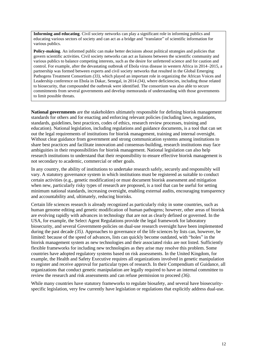**Informing and educating**. Civil society networks can play a significant role in informing publics and educating various sectors of society and can act as a bridge and "translator" of scientific information for various publics.

**Policy-making**. An informed public can make better decisions about political strategies and policies that govern scientific activities. Civil society networks can act as liaisons between the scientific community and various publics to balance competing interests, such as the desire for unfettered science and for caution and control. For example, after the devastating outbreak of Ebola virus disease in western Africa in 2014–2015, a partnership was formed between experts and civil society networks that resulted in the Global Emerging Pathogens Treatment Consortium *(33)*, which played an important role in organizing the African Voices and Leadership conference on Ebola in Dakar, Senegal, in 2014 *(34)*, where deficiencies, including those related to biosecurity, that compounded the outbreak were identified. The consortium was also able to secure commitments from several governments and develop memoranda of understanding with those governments to limit possible threats.

**National governments** are the stakeholders ultimately responsible for defining biorisk management standards for others and for enacting and enforcing relevant policies (including laws, regulations, standards, guidelines, best practices, codes of ethics, research review processes, training and education). National legislation, including regulations and guidance documents, is a tool that can set out the legal requirements of institutions for biorisk management, training and internal oversight. Without clear guidance from government and strong communication systems among institutions to share best practices and facilitate innovation and consensus-building, research institutions may face ambiguities in their responsibilities for biorisk management. National legislation can also help research institutions to understand that their responsibility to ensure effective biorisk management is not secondary to academic, commercial or other goals.

In any country, the ability of institutions to undertake research safely, securely and responsibly will vary. A statutory governance system in which institutions must be registered as suitable to conduct certain activities (e.g., genetic modification) or must document biorisk assessment and mitigation when new, particularly risky types of research are proposed, is a tool that can be useful for setting minimum national standards, increasing oversight, enabling external audits, encouraging transparency and accountability and, ultimately, reducing biorisks.

Certain life sciences research is already recognized as particularly risky in some countries, such as human genome editing and genetic modification of human pathogens; however, other areas of biorisk are evolving rapidly with advances in technology that are not as clearly defined or governed. In the USA, for example, the Select Agent Regulations provide the legal framework for laboratory biosecurity, and several Government-policies on dual-use research oversight have been implemented during the past decade *(35)*. Approaches to governance of the life sciences by lists can, however, be limited: because of the speed of advances, lists can quickly become outdated, with "holes" in the biorisk management system as new technologies and their associated risks are not listed. Sufficiently flexible frameworks for including new technologies as they arise may resolve this problem. Some countries have adopted regulatory systems based on risk assessments. In the United Kingdom, for example, the Health and Safety Executive requires all organizations involved in genetic manipulation to register and receive approval for particular types of research. In their Compendium of Guidance, all organizations that conduct genetic manipulation are legally required to have an internal committee to review the research and risk assessments and can refuse permission to proceed *(36)*.

While many countries have statutory frameworks to regulate biosafety, and several have biosecurityspecific legislation, very few currently have legislation or regulations that explicitly address dual-use.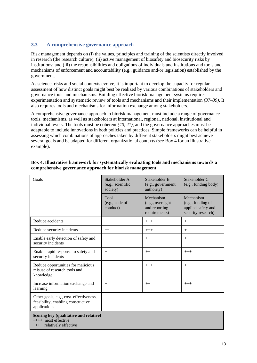## <span id="page-18-0"></span>**3.3 A comprehensive governance approach**

Risk management depends on (i) the values, principles and training of the scientists directly involved in research (the research culture); (ii) active management of biosafety and biosecurity risks by institutions; and (iii) the responsibilities and obligations of individuals and institutions and tools and mechanisms of enforcement and accountability (e.g., guidance and/or legislation) established by the government.

As science, risks and social contexts evolve, it is important to develop the capacity for regular assessment of how distinct goals might best be realized by various combinations of stakeholders and governance tools and mechanisms. Building effective biorisk management systems requires experimentation and systematic review of tools and mechanisms and their implementation *(37–39)*. It also requires tools and mechanisms for information exchange among stakeholders.

A comprehensive governance approach to biorisk management must include a range of governance tools, mechanisms, as well as stakeholders at international, regional, national, institutional and individual levels. The tools must be coherent *(40, 41)*, and the governance approaches must be adaptable to include innovations in both policies and practices. Simple frameworks can be helpful in assessing which combinations of approaches taken by different stakeholders might best achieve several goals and be adapted for different organizational contexts (see Box 4 for an illustrative example).

| Goals                                                                                          | Stakeholder A<br>(e.g., scientific<br>society) | Stakeholder B<br>(e.g., government<br>authority)                | Stakeholder C<br>(e.g., funding body)                                      |
|------------------------------------------------------------------------------------------------|------------------------------------------------|-----------------------------------------------------------------|----------------------------------------------------------------------------|
|                                                                                                | Tool<br>(e.g., code of)<br>conduct)            | Mechanism<br>(e.g., oversight<br>and reporting<br>requirements) | Mechanism<br>(e.g., funding of<br>applied safety and<br>security research) |
| Reduce accidents                                                                               | $++$                                           | $+++$                                                           | $+$                                                                        |
| Reduce security incidents                                                                      | $++$                                           | $+++$                                                           | $+$                                                                        |
| Enable early detection of safety and<br>security incidents                                     | $+$                                            | $++$                                                            | $++$                                                                       |
| Enable rapid response to safety and<br>security incidents                                      | $+$                                            | $++$                                                            | $+++$                                                                      |
| Reduce opportunities for malicious<br>misuse of research tools and<br>knowledge                | $++$                                           | $+++$                                                           | $+$                                                                        |
| Increase information exchange and<br>learning                                                  | $+$                                            | $++$                                                            | $+++$                                                                      |
| Other goals, e.g., cost-effectiveness,<br>feasibility, enabling constructive<br>applications   |                                                |                                                                 |                                                                            |
| Scoring key (qualitative and relative)<br>++++ most effective<br>relatively effective<br>$+++$ |                                                |                                                                 |                                                                            |

### <span id="page-18-1"></span>**Box 4. Illustrative framework for systematically evaluating tools and mechanisms towards a comprehensive governance approach for biorisk management**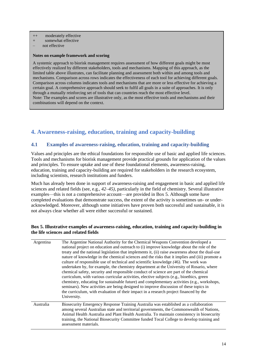- ++ moderately effective
- somewhat effective
- not effective

#### **Notes on example framework and scoring**

A systemic approach to biorisk management requires assessment of how different goals might be most effectively realized by different stakeholders, tools and mechanisms. Mapping of this approach, as the limited table above illustrates, can facilitate planning and assessment both within and among tools and mechanisms. Comparison across rows indicates the effectiveness of each tool for achieving different goals. Comparison across columns indicates tools and mechanisms that are more or less effective for achieving a certain goal. A comprehensive approach should seek to fulfil all goals in a suite of approaches. It is only through a mutually reinforcing set of tools that can countries reach the most effective level. Note: The examples and scores are illustrative only, as the most effective tools and mechanisms and their combinations will depend on the context.

# <span id="page-19-0"></span>**4. Awareness-raising, education, training and capacity-building**

### <span id="page-19-1"></span>**4.1 Examples of awareness-raising, education, training and capacity-building**

Values and principles are the ethical foundations for responsible use of basic and applied life sciences. Tools and mechanisms for biorisk management provide practical grounds for application of the values and principles. To ensure uptake and use of these foundational elements, awareness-raising, education, training and capacity-building are required for stakeholders in the research ecosystem, including scientists, research institutions and funders.

Much has already been done in support of awareness-raising and engagement in basic and applied life sciences and related fields (see, e.g., *42–45)*, particularly in the field of chemistry. Several illustrative examples—this is not a comprehensive account—are provided in Box 5. Although some have completed evaluations that demonstrate success, the extent of the activity is sometimes un- or underacknowledged. Moreover, although some initiatives have proven both successful and sustainable, it is not always clear whether all were either successful or sustained.

#### <span id="page-19-2"></span>**Box 5. Illustrative examples of awareness-raising, education, training and capacity-building in the life sciences and related fields**

| Argentina | The Argentine National Authority for the Chemical Weapons Convention developed a<br>national project on education and outreach to (i) improve knowledge about the role of the<br>treaty and the national legislation that implements it, (ii) raise awareness about the dual-use<br>nature of knowledge in the chemical sciences and the risks that it implies and (iii) promote a<br>culture of responsible use of technical and scientific knowledge $(46)$ . The work was<br>undertaken by, for example, the chemistry department at the University of Rosario, where<br>chemical safety, security and responsible conduct of science are part of the chemical<br>curriculum, with various curricular activities, elective subjects (e.g., bioethics, green<br>chemistry, educating for sustainable future) and complementary activities (e.g., workshops,<br>seminars). New activities are being designed to improve discussion of these topics in<br>the curriculum, with evaluation of their impact in a research project financed by the<br>University. |
|-----------|----------------------------------------------------------------------------------------------------------------------------------------------------------------------------------------------------------------------------------------------------------------------------------------------------------------------------------------------------------------------------------------------------------------------------------------------------------------------------------------------------------------------------------------------------------------------------------------------------------------------------------------------------------------------------------------------------------------------------------------------------------------------------------------------------------------------------------------------------------------------------------------------------------------------------------------------------------------------------------------------------------------------------------------------------------------|
| Australia | Biosecurity Emergency Response Training Australia was established as a collaboration<br>among several Australian state and territorial governments, the Commonwealth of Nations,<br>Animal Health Australia and Plant Health Australia. To maintain consistency in biosecurity<br>training, the National Biosecurity Committee funded Tocal College to develop training and<br>assessment materials.                                                                                                                                                                                                                                                                                                                                                                                                                                                                                                                                                                                                                                                           |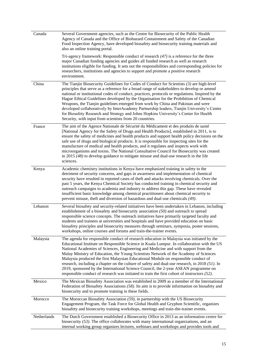| Canada      | Several Government agencies, such as the Centre for Biosecurity of the Public Health<br>Agency of Canada and the Office of Biohazard Containment and Safety of the Canadian<br>Food Inspection Agency, have developed biosafety and biosecurity training materials and<br>also an online training portal.                                                                                                                                                                                                                                                                                                                                                                                                                                                  |
|-------------|------------------------------------------------------------------------------------------------------------------------------------------------------------------------------------------------------------------------------------------------------------------------------------------------------------------------------------------------------------------------------------------------------------------------------------------------------------------------------------------------------------------------------------------------------------------------------------------------------------------------------------------------------------------------------------------------------------------------------------------------------------|
|             | Tri-agency framework: Responsible conduct of research $(47)$ is a reference for the three<br>major Canadian funding agencies and guides all funded research as well as research<br>institutions eligible for funding. It sets out the responsibilities and corresponding policies for<br>researchers, institutions and agencies to support and promote a positive research<br>environment.                                                                                                                                                                                                                                                                                                                                                                 |
| China       | The Tianjin Biosecurity Guidelines for Codes of Conduct for Scientists $(3)$ are high-level<br>principles that serve as a reference for a broad range of stakeholders to develop or amend<br>national or institutional codes of conduct, practices, protocols or regulations. Inspired by the<br>Hague Ethical Guidelines developed by the Organisation for the Prohibition of Chemical<br>Weapons, the Tianjin guidelines emerged from work by China and Pakistan and were<br>developed collaboratively by InterAcademy Partnership leaders, Tianjin University's Centre<br>for Biosafety Research and Strategy and Johns Hopkins University's Center for Health<br>Security, with input from scientists from 20 countries.                               |
| France      | The aim of the Agence Nationale de Sécurité du Médicament et des produits de santé<br>[National Agency for the Safety of Drugs and Health Products], established in 2011, is to<br>ensure the safety of medicines and health products and support health policy decisions on the<br>safe use of drugs and biological products. It is responsible for inspecting sites for the<br>manufacture of medical and health products, and it regulates and inspects work with<br>microorganisms and toxins. The National Consultative Council for Biosecurity was created<br>in $2015(48)$ to develop guidance to mitigate misuse and dual-use research in the life<br>sciences.                                                                                    |
| Kenya       | Academic chemistry institutions in Kenya have emphasized training in safety to the<br>detriment of security concerns, and gaps in awareness and implementation of chemical<br>security have resulted in reported cases of theft and attacks involving chemicals. Over the<br>past 5 years, the Kenya Chemical Society has conducted training in chemical security and<br>outreach campaigns to academia and industry to address this gap. These have revealed<br>insufficient basic knowledge among chemical practitioners about chemical security to<br>prevent misuse, theft and diversion of hazardous and dual-use chemicals (49).                                                                                                                     |
| Lebanon     | Several biosafety and security-related initiatives have been undertaken in Lebanon, including<br>establishment of a biosafety and biosecurity association $(50)$ and outreach to spread<br>responsible science concepts. The outreach initiatives have primarily targeted faculty and<br>students and trainees at universities and hospitals and have provided education on basic<br>biosafety principles and biosecurity measures through seminars, symposia, poster sessions,<br>workshops, online courses and forums and train-the-trainer events.                                                                                                                                                                                                      |
| Malaysia    | The agenda for responsible conduct of research education in Malaysia was initiated by the<br>Educational Institute on Responsible Science in Kuala Lumpur. In collaboration with the US<br>National Academies of Sciences, Engineering and Medicine and with support from the<br>Malay Ministry of Education, the Young Scientists Network of the Academy of Sciences<br>Malaysia produced the first Malaysian Educational Module on responsible conduct of<br>research, including a chapter on the culture of safety and dual-use research, in 2018 $(51)$ . In<br>2019, sponsored by the International Science Council, the 2-year ASEAN programme on<br>responsible conduct of research was initiated to train the first cohort of instructors $(52)$ . |
| Mexico      | The Mexican Biosafety Association was established in 2009 as a member of the International<br>Federation of Biosafety Associations (58). Its aim is to provide information on biosafety and<br>biosecurity and to promote training in these fields.                                                                                                                                                                                                                                                                                                                                                                                                                                                                                                        |
| Morocco     | The Moroccan Biosafety Association (59), in partnership with the US Biosecurity<br>Engagement Program, the Task Force for Global Health and Gryphon Scientific, organizes<br>biosafety and biosecurity training workshops, meetings and train-the-trainer events.                                                                                                                                                                                                                                                                                                                                                                                                                                                                                          |
| Netherlands | The Dutch Government established a Biosecurity Office in 2013 as an information centre for<br>biosecurity $(53)$ . The office collaborates with many international organizations, and an<br>internal working group organizes lectures, webinars and workshops and provides tools and                                                                                                                                                                                                                                                                                                                                                                                                                                                                       |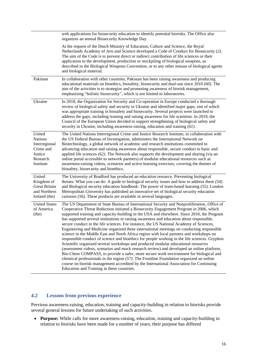| web applications for biosecurity education to identify potential biorisks. The Office also<br>organizes an annual Biosecurity Knowledge Day.                                                                                                                                                                                                                                                                                                                                                                                                                                                                                                                                                                                                                                                                                                                                                                                                                                                                                                                                                                                                                                                                                                                                          |
|---------------------------------------------------------------------------------------------------------------------------------------------------------------------------------------------------------------------------------------------------------------------------------------------------------------------------------------------------------------------------------------------------------------------------------------------------------------------------------------------------------------------------------------------------------------------------------------------------------------------------------------------------------------------------------------------------------------------------------------------------------------------------------------------------------------------------------------------------------------------------------------------------------------------------------------------------------------------------------------------------------------------------------------------------------------------------------------------------------------------------------------------------------------------------------------------------------------------------------------------------------------------------------------|
| At the request of the Dutch Ministry of Education, Culture and Science, the Royal<br>Netherlands Academy of Arts and Science developed a Code of Conduct for Biosecurity (2).<br>The aim of the Code is to prevent direct or indirect contribution of life sciences or their<br>application to the development, production or stockpiling of biological weapons, as<br>described in the Biological Weapons Convention, or to any other misuse of biological agents<br>and biological material.                                                                                                                                                                                                                                                                                                                                                                                                                                                                                                                                                                                                                                                                                                                                                                                        |
| In collaboration with other countries, Pakistan has been raising awareness and producing<br>educational materials on bioethics, biosafety, biosecurity and dual-use since $2010 (60)$ . The<br>aim of the activities is to strategize and promoting awareness of biorisk management,<br>emphasizing "holistic biosecurity", which is not limited to laboratories.                                                                                                                                                                                                                                                                                                                                                                                                                                                                                                                                                                                                                                                                                                                                                                                                                                                                                                                     |
| In 2018, the Organization for Security and Co-operation in Europe conducted a thorough<br>review of biological safety and security in Ukraine and identified major gaps, one of which<br>was appropriate training in biosafety and biosecurity. Several projects were launched to<br>address the gaps, including training and raising awareness for life scientists. In 2019, the<br>Council of the European Union decided to support strengthening of biological safety and<br>security in Ukraine, including awareness-raising, education and training (61).                                                                                                                                                                                                                                                                                                                                                                                                                                                                                                                                                                                                                                                                                                                        |
| The United Nations Interregional Crime and Justice Research Institute, in collaboration with<br>the US Federal Bureau of Investigation, administers the International Network on<br>Biotechnology, a global network of academic and research institutions committed to<br>advancing education and raising awareness about responsible, secure conduct in basic and<br>applied life sciences $(62)$ . The Network also supports the development and sharing (via an<br>online portal accessible to network partners) of modular educational resources such as<br>awareness-raising videos, scenarios and active learning exercises, covering the themes of<br>biosafety, biosecurity and bioethics.                                                                                                                                                                                                                                                                                                                                                                                                                                                                                                                                                                                    |
| The University of Bradford has produced an education resource, Preventing biological<br>threats: What you can do: A guide to biological security issues and how to address them $(54)$<br>and Biological security education handbook: The power of team-based learning (55). London<br>Metropolitan University has published an innovative set of biological security education<br>cartoons (56). These products are available in several languages.                                                                                                                                                                                                                                                                                                                                                                                                                                                                                                                                                                                                                                                                                                                                                                                                                                  |
| The US Department of State Bureau of International Security and Nonproliferation, Office of<br>Cooperative Threat Reduction initiated a Biosecurity Engagement Program in 2006, which<br>supported training and capacity-building in the USA and elsewhere. Since 2010, the Program<br>has supported several institutions in raising awareness and education about responsible,<br>secure conduct in the life sciences. For instance, the US National Academy of Sciences.<br>Engineering and Medicine organized three international meetings on conducting responsible<br>science in the Middle East and North Africa region with local partners and workshops on<br>responsible conduct of science and bioethics for people working in the life sciences. Gryphon<br>Scientific organized several workshops and produced modular educational resources<br>(assessment videos, scenarios and mock research review) and developed an online platform,<br>Bio-Chem COMPASS, to provide a safer, more secure work environment for biological and<br>chemical professionals in the region $(57)$ . The Frontline Foundation organized an online<br>course on biorisk management accredited by the International Association for Continuing<br>Education and Training in these countries. |
|                                                                                                                                                                                                                                                                                                                                                                                                                                                                                                                                                                                                                                                                                                                                                                                                                                                                                                                                                                                                                                                                                                                                                                                                                                                                                       |

# <span id="page-21-0"></span>**4.2 Lessons from previous experience**

Previous awareness-raising, education, training and capacity-building in relation to biorisks provide several general lessons for future undertaking of such activities.

• **Purpose:** While calls for more awareness-raising, education, training and capacity-building in relation to biorisks have been made for a number of years, their purpose has differed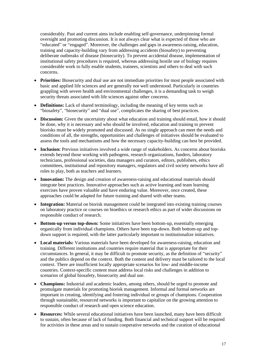considerably. Past and current aims include enabling self-governance, underpinning formal oversight and promoting discussion. It is not always clear what is expected of those who are "educated" or "engaged". Moreover, the challenges and gaps in awareness-raising, education, training and capacity-building vary from addressing accidents (biosafety) to preventing deliberate outbreaks of disease (biosecurity). To prevent accidental disease, implementation of institutional safety procedures is required, whereas addressing hostile use of biology requires considerable work to fully enable students, trainees, scientists and others to deal with such concerns.

- **Priorities:** Biosecurity and dual use are not immediate priorities for most people associated with basic and applied life sciences and are generally not well understood. Particularly in countries grappling with severe health and environmental challenges, it is a demanding task to weigh security threats associated with life sciences against other concerns.
- **Definitions:** Lack of shared terminology, including the meaning of key terms such as "biosafety", "biosecurity" and "dual use", complicates the sharing of best practices.
- **Discussion:** Given the uncertainty about what education and training should entail, how it should be done, why it is necessary and who should be involved, education and training to prevent biorisks must be widely promoted and discussed. As no single approach can meet the needs and conditions of all, the strengths, opportunities and challenges of initiatives should be evaluated to assess the tools and mechanisms and how the necessary capacity-building can best be provided.
- **Inclusion:** Previous initiatives involved a wide range of stakeholders. As concerns about biorisks extends beyond those working with pathogens, research organizations, funders, laboratory technicians, professional societies, data managers and curators, editors, publishers, ethics committees, institutional and repository managers, regulators and civil society networks have all roles to play, both as teachers and learners.
- **Innovation:** The design and creation of awareness-raising and educational materials should integrate best practices. Innovative approaches such as active learning and team learning exercises have proven valuable and have enduring value. Moreover, once created, these approaches could be adapted for future training and shared with other teams.
- **Integration:** Material on biorisk management could be integrated into existing training courses on laboratory practice or courses on bioethics or research ethics as part of wider discussions on responsible conduct of research.
- **Bottom-up versus top-down:** Some initiatives have been bottom-up, essentially emerging organically from individual champions. Others have been top-down. Both bottom-up and topdown support is required, with the latter particularly important to institutionalize initiatives.
- **Local materials:** Various materials have been developed for awareness-raising, education and training. Different institutions and countries require material that is appropriate for their circumstances. In general, it may be difficult to promote security, as the definition of "security" and the publics depend on the context. Both the content and delivery must be tailored to the local context. There are insufficient locally appropriate scenarios for low- and middle-income countries. Context-specific content must address local risks and challenges in addition to scenarios of global biosafety, biosecurity and dual use.
- **Champions:** Industrial and academic leaders, among others, should be urged to promote and promulgate materials for promoting biorisk management. Informal and formal networks are important in creating, identifying and fostering individual or groups of champions. Cooperation through sustainable, resourced networks is important to capitalize on the growing attention to responsible conduct of research and open science education.
- **Resources:** While several educational initiatives have been launched, many have been difficult to sustain, often because of lack of funding. Both financial and technical support will be required for activities in these areas and to sustain cooperative networks and the curation of educational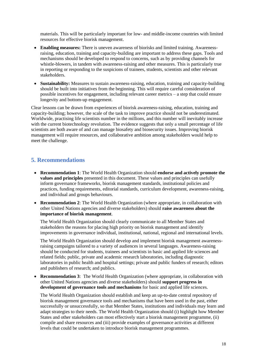materials. This will be particularly important for low- and middle-income countries with limited resources for effective biorisk management.

- **Enabling measures:** There is uneven awareness of biorisks and limited training. Awarenessraising, education, training and capacity-building are important to address these gaps. Tools and mechanisms should be developed to respond to concerns, such as by providing channels for whistle-blowers, in tandem with awareness-raising and other measures. This is particularly true in reporting or responding to the suspicions of trainees, students, scientists and other relevant stakeholders.
- **Sustainability:** Measures to sustain awareness-raising, education, training and capacity-building should be built into initiatives from the beginning. This will require careful consideration of possible incentives for engagement, including relevant career metrics – a step that could ensure longevity and bottom-up engagement.

Clear lessons can be drawn from experiences of biorisk awareness-raising, education, training and capacity-building; however, the scale of the task to improve practice should not be underestimated. Worldwide, practising life scientists number in the millions, and this number will inevitably increase with the current biotechnology revolution. The evidence suggests that only a small percentage of life scientists are both aware of and can manage biosafety and biosecurity issues. Improving biorisk management will require resources, and collaborative ambition among stakeholders would help to meet the challenge.

# <span id="page-23-0"></span>**5. Recommendations**

- **Recommendation 1**: The World Health Organization should **endorse and actively promote the values and principles** presented in this document. These values and principles can usefully inform governance frameworks, biorisk management standards, institutional policies and practices, funding requirements, editorial standards, curriculum development, awareness-raising, and individual and groups behaviours.
- **Recommendation 2**: The World Health Organization (where appropriate, in collaboration with other United Nations agencies and diverse stakeholders) should **raise awareness about the importance of biorisk management**.

The World Health Organization should clearly communicate to all Member States and stakeholders the reasons for placing high priority on biorisk management and identify improvements in governance individual, institutional, national, regional and international levels.

The World Health Organization should develop and implement biorisk management awarenessraising campaigns tailored to a variety of audiences in several languages. Awareness-raising should be conducted for students, trainees and scientists in basic and applied life sciences and related fields; public, private and academic research laboratories, including diagnostic laboratories in public health and hospital settings; private and public funders of research; editors and publishers of research; and publics.

• **Recommendation 3**: The World Health Organization (where appropriate, in collaboration with other United Nations agencies and diverse stakeholders) should **support progress in development of governance tools and mechanisms** for basic and applied life sciences.

The World Health Organization should establish and keep an up-to-date central repository of biorisk management governance tools and mechanisms that have been used in the past, either successfully or unsuccessfully, so that Member States, institutions and individuals may learn and adapt strategies to their needs. The World Health Organization should (i) highlight how Member States and other stakeholders can most effectively start a biorisk management programme, (ii) compile and share resources and (iii) provide examples of governance activities at different levels that could be undertaken to introduce biorisk management programmes.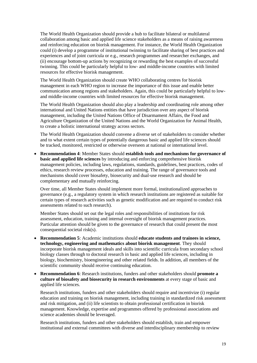The World Health Organization should provide a hub to facilitate bilateral or multilateral collaboration among basic and applied life science stakeholders as a means of raising awareness and reinforcing education on biorisk management. For instance, the World Health Organization could (i) develop a programme of institutional twinning to facilitate sharing of best practices and experiences and of joint curricula or e.g., research programmes and researcher exchanges, and (ii) encourage bottom-up actions by recognizing or rewarding the best examples of successful twinning. This could be particularly helpful to low- and middle-income countries with limited resources for effective biorisk management.

The World Health Organization should create WHO collaborating centres for biorisk management in each WHO region to increase the importance of this issue and enable better communication among regions and stakeholders. Again, this could be particularly helpful to lowand middle-income countries with limited resources for effective biorisk management.

The World Health Organization should also play a leadership and coordinating role among other international and United Nations entities that have jurisdiction over any aspect of biorisk management, including the United Nations Office of Disarmament Affairs, the Food and Agriculture Organization of the United Nations and the World Organization for Animal Health, to create a holistic international strategy across sectors.

The World Health Organization should convene a diverse set of stakeholders to consider whether and to what extent certain types of potentially dangerous basic and applied life sciences should be tracked, monitored, restricted or otherwise overseen at national or international level.

• **Recommendation 4**: Member States should **establish tools and mechanisms for governance of basic and applied life sciences** by introducing and enforcing comprehensive biorisk management policies, including laws, regulations, standards, guidelines, best practices, codes of ethics, research review processes, education and training. The range of governance tools and mechanisms should cover biosafety, biosecurity and dual-use research and should be complementary and mutually reinforcing.

Over time, all Member States should implement more formal, institutionalized approaches to governance (e.g., a regulatory system in which research institutions are registered as suitable for certain types of research activities such as genetic modification and are required to conduct risk assessments related to such research).

Member States should set out the legal roles and responsibilities of institutions for risk assessment, education, training and internal oversight of biorisk management practices. Particular attention should be given to the governance of research that could present the most consequential societal risk(s).

- **Recommendation 5**: Academic institutions should **educate students and trainees in science, technology, engineering and mathematics about biorisk management**. They should incorporate biorisk management ideals and skills into scientific curricula from secondary school biology classes through to doctoral research in basic and applied life sciences, including in biology, biochemistry, bioengineering and other related fields. In addition, all members of the scientific community should receive continuing education.
- **Recommendation 6**: Research institutions, funders and other stakeholders should **promote a culture of biosafety and biosecurity in research environments** at every stage of basic and applied life sciences.

Research institutions, funders and other stakeholders should require and incentivize (i) regular education and training on biorisk management, including training in standardized risk assessment and risk mitigation, and (ii) life scientists to obtain professional certification in biorisk management. Knowledge, expertise and programmes offered by professional associations and science academies should be leveraged.

Research institutions, funders and other stakeholders should establish, train and empower institutional and external committees with diverse and interdisciplinary membership to review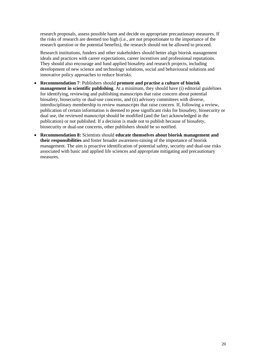research proposals, assess possible harm and decide on appropriate precautionary measures. If the risks of research are deemed too high (i.e., are not proportionate to the importance of the research question or the potential benefits), the research should not be allowed to proceed.

Research institutions, funders and other stakeholders should better align biorisk management ideals and practices with career expectations, career incentives and professional reputations. They should also encourage and fund applied biosafety and research projects, including development of new science and technology solutions, social and behavioural solutions and innovative policy approaches to reduce biorisks.

- **Recommendation 7**: Publishers should **promote and practise a culture of biorisk management in scientific publishing**. At a minimum, they should have (i) editorial guidelines for identifying, reviewing and publishing manuscripts that raise concern about potential biosafety, biosecurity or dual-use concerns, and (ii) advisory committees with diverse, interdisciplinary membership to review manuscripts that raise concern. If, following a review, publication of certain information is deemed to pose significant risks for biosafety, biosecurity or dual use, the reviewed manuscript should be modified (and the fact acknowledged in the publication) or not published. If a decision is made not to publish because of biosafety, biosecurity or dual-use concerns, other publishers should be so notified.
- **Recommendation 8:** Scientists should **educate themselves about biorisk management and their responsibilities** and foster broader awareness-raising of the importance of biorisk management. The aim is proactive identification of potential safety, security and dual-use risks associated with basic and applied life sciences and appropriate mitigating and precautionary measures.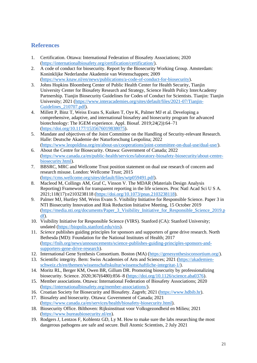# <span id="page-26-0"></span>**References**

- 1. Certification. Ottawa: International Federation of Biosafety Associations; 2020 [\(https://internationalbiosafety.org/certification/certification/\)](https://internationalbiosafety.org/certification/certification/).
- 2. A code of conduct for biosecurity. Report by the Biosecurity Working Group. Amsterdam: Koninklijke Nederlandse Akademie van Wetenschappen; 2009 [\(https://www.knaw.nl/en/news/publications/a-code-of-conduct-for-biosecurity\)](https://www.knaw.nl/en/news/publications/a-code-of-conduct-for-biosecurity).
- 3. Johns Hopkins Bloomberg Center of Public Health Center for Health Security, Tianjin University Center for Biosafety Research and Strategy, Science Health Policy InterAcademy Partnership. Tianjin Biosecurity Guidelines for Codes of Conduct for Scientists. Tianjin: Tianjin University; 2021 [\(https://www.interacademies.org/sites/default/files/2021-07/Tianjin-](https://www.interacademies.org/sites/default/files/2021-07/Tianjin-Guidelines_210707.pdf)[Guidelines\\_210707.pdf\)](https://www.interacademies.org/sites/default/files/2021-07/Tianjin-Guidelines_210707.pdf).
- 4. Millett P, Binz T, Weiss Evans S, Kuiken T, Oye K, Palmer MJ et al. Developing a comprehensive, adaptive, and international biosafety and biosecurity program for advanced biotechnology: The IGEM experience. Appl. Biosaf. 2019;24(2)):64–71 [\(https://doi.org/10.1177/1535676019838075\)](https://doi.org/10.1177/1535676019838075).
- 5. Mandate and objectives of the Joint Committee on the Handling of Security-relevant Research. Halle: Deutsche Akademie der Naturforschung Leopolina; 2022 [\(https://www.leopoldina.org/en/about-us/cooperations/joint-committee-on-dual-use/dual-use/\)](https://www.leopoldina.org/en/about-us/cooperations/joint-committee-on-dual-use/dual-use/).
- 6. About the Centre for Biosecurity. Ottawa: Government of Canada; 2022 [\(https://www.canada.ca/en/public-health/services/laboratory-biosafety-biosecurity/about-centre](https://www.canada.ca/en/public-health/services/laboratory-biosafety-biosecurity/about-centre-biosecurity.html)[biosecurity.html\)](https://www.canada.ca/en/public-health/services/laboratory-biosafety-biosecurity/about-centre-biosecurity.html).
- 7. BBSRC, MRC and Wellcome Trust position statement on dual use research of concern and research misuse. London: Wellcome Trust; 2015 [\(https://cms.wellcome.org/sites/default/files/wtp059491.pdf\)](https://cms.wellcome.org/sites/default/files/wtp059491.pdf).
- 8. Macleod M, Collings AM, Graf C, Vinson V. The MDAR (Materials Design Analysis Reporting) Framework for transparent reporting in the life sciences. Proc Natl Acad Sci U S A. 2021;118(17):e2103238118 [\(https://doi.org/10.1073/pnas.2103238118\)](https://doi.org/10.1073/pnas.2103238118).
- 9. Palmer MJ, Hurtley SM, Weiss Evans S. Visibility Initiative for Responsible Science. Paper 3 in NTI Biosecurity Innovation and Risk Reduction Initiative Meeting, 15 October 2019 [\(https://media.nti.org/documents/Paper\\_3\\_Visibility\\_Initiative\\_for\\_Responsible\\_Science\\_2019.p](https://media.nti.org/documents/Paper_3_Visibility_Initiative_for_Responsible_Science_2019.pdf) [df\)](https://media.nti.org/documents/Paper_3_Visibility_Initiative_for_Responsible_Science_2019.pdf).
- 10. Visibility Initiative for Responsible Science (VIRS). Stanford (CA): Stanford University; undated [\(https://biopolis.stanford.edu/virs\)](https://biopolis.stanford.edu/virs).
- 11. *Science* publishes guiding principles for sponsors and supporters of gene drive research. North Bethesda (MD): Foundation for the National Institutes of Health; 2017 [\(https://fnih.org/news/announcements/science-publishes-guiding-principles-sponsors-and](https://fnih.org/news/announcements/science-publishes-guiding-principles-sponsors-and-supporters-gene-drive-research)[supporters-gene-drive-research\)](https://fnih.org/news/announcements/science-publishes-guiding-principles-sponsors-and-supporters-gene-drive-research).
- 12. International Gene Synthesis Consortium. Boston (MA) [\(https://genesynthesisconsortium.org/\)](https://genesynthesisconsortium.org/).
- 13. Scientific integrity. Bern: Swiss Academies of Arts and Sciences; 2021 [\(https://akademien](https://akademien-schweiz.ch/en/themen/wissenschaftskultur/wissenschaftliche-integritat-1/)[schweiz.ch/en/themen/wissenschaftskultur/wissenschaftliche-integritat-1/\)](https://akademien-schweiz.ch/en/themen/wissenschaftskultur/wissenschaftliche-integritat-1/).
- 14. Moritz RL, Berger KM, Owen BR, Gillum DR. Promoting biosecurity by professionalizing biosecurity. Science. 2020;367(6480):856–8 [\(https://doi.org/10.1126/science.aba0376\)](https://doi.org/10.1126/science.aba0376).
- 15. Member associations. Ottawa: International Federation of Biosafety Associations; 2020 [\(https://internationalbiosafety.org/member-associations/\)](https://internationalbiosafety.org/member-associations/).
- 16. Croatian Society for Biosecurity and Biosafety. Zagreb; 2021 [\(https://www.hdbib.hr\)](https://www.hdbib.hr/).
- 17. Biosafety and biosecurity. Ottawa: Government of Canada; 2021 [\(https://www.canada.ca/en/services/health/biosafety-biosecurity.html\)](https://www.canada.ca/en/services/health/biosafety-biosecurity.html).
- 18. Biosecurity Office. Bilthoven: Rijksinstituut voor Volksgezondheid en Milieu; 2021 [\(https://www.bureaubiosecurity.nl/en\)](https://www.bureaubiosecurity.nl/en).
- 19. Rodgers J, Lentzos F, Koblentz GD, Ly M. How to make sure the labs researching the most dangerous pathogens are safe and secure. Bull Atomic Scientists, 2 July 2021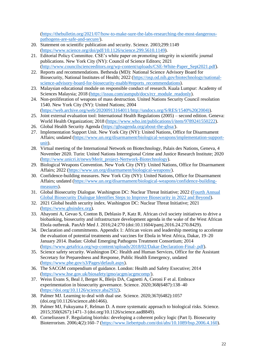[\(https://thebulletin.org/2021/07/how-to-make-sure-the-labs-researching-the-most-dangerous](https://thebulletin.org/2021/07/how-to-make-sure-the-labs-researching-the-most-dangerous-pathogens-are-safe-and-secure/)[pathogens-are-safe-and-secure/\)](https://thebulletin.org/2021/07/how-to-make-sure-the-labs-researching-the-most-dangerous-pathogens-are-safe-and-secure/).

- 20. Statement on scientific publication and security. Science. 2003;299:1149 [\(https://www.science.org/doi/pdf/10.1126/science.299.5610.1149\)](https://www.science.org/doi/pdf/10.1126/science.299.5610.1149).
- 21. Editorial Policy Committee. CSE's white paper on promoting integrity in scientific journal publications. New York City (NY): Council of Science Editors; 2021 [\(http://www.councilscienceeditors.org/wp-content/uploads/CSE-White-Paper\\_Sept2021.pdf\)](http://www.councilscienceeditors.org/wp-content/uploads/CSE-White-Paper_Sept2021.pdf).
- 22. Reports and recommendations. Bethesda (MD): National Science Advisory Board for Biosecurity, National Institutes of Health; 2022 [\(https://osp.od.nih.gov/biotechnology/national](https://osp.od.nih.gov/biotechnology/national-science-advisory-board-for-biosecurity-nsabb/#reports_recommendations)[science-advisory-board-for-biosecurity-nsabb/#reports\\_recommendations\)](https://osp.od.nih.gov/biotechnology/national-science-advisory-board-for-biosecurity-nsabb/#reports_recommendations).
- 23. Malaysian educational module on responsible conduct of research. Kuala Lumpur: Academy of Sciences Malaysia; 2018 [\(https://issuu.com/asmpub/docs/rcr\\_module\\_readonly\)](https://issuu.com/asmpub/docs/rcr_module_readonly).
- 24. Non-proliferation of weapons of mass destruction. United Nations Security Council resolution 1540. New York City (NY): United Nations; 2004
- [\(https://web.archive.org/web/20200913164011/http://undocs.org/S/RES/1540%20\(2004\)\)](https://web.archive.org/web/20200913164011/http:/undocs.org/S/RES/1540%20(2004)). 25. Joint external evaluation tool: International Health Regulations (2005) – second edition. Geneva:
- World Health Organization; 2018 [\(https://www.who.int/publications/i/item/9789241550222\)](https://www.who.int/publications/i/item/9789241550222). 26. Global Health Security Agenda [\(https://ghsagenda.org/about-the-ghsa/\)](https://ghsagenda.org/about-the-ghsa/).
- 27. Implementation Support Unit. New York City (NY): United Nations, Office for Disarmament Affairs; undated [\(https://www.un.org/disarmament/biological-weapons/implementation-support](https://www.un.org/disarmament/biological-weapons/implementation-support-unit)[unit\)](https://www.un.org/disarmament/biological-weapons/implementation-support-unit).
- 28. Virtual meeting of the International Network on Biotechnology, Palais des Nations, Geneva, 4 November 2020. Turin: United Nations Interregional Crime and Justice Research Institute; 2020 [\(http://www.unicri.it/news/Merit\\_project-Nertwork-Biotechnology\)](http://www.unicri.it/news/Merit_project-Nertwork-Biotechnology).
- 29. Biological Weapons Convention. New York City (NY): United Nations, Office for Disarmament Affairs; 2022 [\(https://www.un.org/disarmament/biological-weapons/\)](https://www.un.org/disarmament/biological-weapons/).
- 30. Confidence-building measures. New York City (NY): United Nations, Office for Disarmament Affairs; undated [\(https://www.un.org/disarmament/biological-weapons/confidence-building](https://www.un.org/disarmament/biological-weapons/confidence-building-measures)[measures\)](https://www.un.org/disarmament/biological-weapons/confidence-building-measures).
- 31. Global Biosecurity Dialogue. Washington DC: Nuclear Threat Initiative; 2022 [\(Fourth Annual](https://www.nti.org/news/fourth-annual-global-biosecurity-dialogue-identifies-steps-to-improve-biosecurity-in-2022-and-beyond/#:~:text=The%20Global%20Biosecurity%20Dialogue%20is%20an%20integral%20part,to%20advance%20biosecurity%20capacity%2C%20policy%2C%20and%20action%20worldwide)  [Global Biosecurity Dialogue Identifies Steps to Improve Biosecurity in 2022 and Beyond\)](https://www.nti.org/news/fourth-annual-global-biosecurity-dialogue-identifies-steps-to-improve-biosecurity-in-2022-and-beyond/#:~:text=The%20Global%20Biosecurity%20Dialogue%20is%20an%20integral%20part,to%20advance%20biosecurity%20capacity%2C%20policy%2C%20and%20action%20worldwide).
- 32. 2021 Global health security index. Washington DC: Nuclear Threat Initiative; 2021 [\(https://www.ghsindex.org\)](https://www.ghsindex.org/).
- 33. Abayomi A, Gevao S, Conton B, Deblasio P, Katz R. African civil society initiatives to drive a biobanking, biosecurity and infrastructure development agenda in the wake of the West African Ebola outbreak. PanAfr Med J. 2016;24:270 (doi[:10.11604/pamj.2016.24.270.8429\)](https://doi.org/10.11604/pamj.2016.24.270.8429).
- 34. Declaration and commitments. Appendix 1: African voices and leadership meeting to accelerate the evaluation of potential treatments and vaccines for Ebola in West Africa, Dakar, 19–20 January 2014. Ibadan: Global Emerging Pathogens Treatment Consortium; 2014 [\(https://www.getafrica.org/wp-content/uploads/2018/02/Dakar-Declaration-Final-.pdf\)](https://www.getafrica.org/wp-content/uploads/2018/02/Dakar-Declaration-Final-.pdf).
- 35. Science safety security. Washington DC: Health and Human Services, Office for the Assistant Secretary for Preparedness and Response, Public Health Emergency, undated [\(https://www.phe.gov/s3/Pages/default.aspx\)](https://www.phe.gov/s3/Pages/default.aspx).
- 36. The SACGM compendium of guidance. London: Health and Safety Executive; 2014 [\(https://www.hse.gov.uk/biosafety/gmo/acgm/acgmcomp/\)](https://www.hse.gov.uk/biosafety/gmo/acgm/acgmcomp/).
- 37. Weiss Evans S, Beal J, Berger K, Bleijs DA, Cagnetti A, Ceroni F et al. Embrace experimentation in biosecurity governance. Science. 2020;368(6487):138–40 [\(https://doi.org/10.1126/science.aba2932\)](https://doi.org/10.1126/science.aba2932).
- 38. Palmer MJ. Learning to deal with dual use. Science. 2020;367(6482):1057 (doi.org/10.1126/science.abb1466).
- 39. Palmer MJ, Fukuyama F, Relman D. A more systematic approach to biological risks. Science. 2015;350(6267):1471–3 (doi.org/10.1126/science.aad8849).
- 40. Corneliussen F. Regulating biorisks: developing a coherent policy logic (Part I). Biosecurity Bioterrorism. 2006;4(2):160–7 [\(https://www.liebertpub.com/doi/abs/10.1089/bsp.2006.4.160\)](https://www.liebertpub.com/doi/abs/10.1089/bsp.2006.4.160).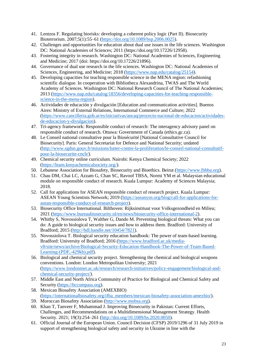- 41. Lentzos F. Regulating biorisks: developing a coherent policy logic (Part II). Biosecurity Bioterrorism. 2007;5(1):55–61 [\(https://doi.org/10.1089/bsp.2006.0025\)](https://doi.org/10.1089/bsp.2006.0025).
- 42. Challenges and opportunities for education about dual use issues in the life sciences. Washington DC: National Academies of Sciences; 2011 (https://doi.org/10.17226/12958).
- 43. Fostering integrity in research. Washington DC: National Academies of Sciences, Engineering and Medicine; 2017 (doi: https://doi.org/10.17226/21896).
- 44. Governance of dual use research in the life sciences. Washington DC: National Academies of Sciences, Engineering, and Medicine; 2018 [\(https://www.nap.edu/catalog/25154\)](https://www.nap.edu/catalog/25154).
- 45. Developing capacities for teaching responsible science in the MENA region: refashioning scientific dialogue. In cooperation with Bibliotheca Alexandrina, TWAS and The World Academy of Sciences. Washington DC: National Research Council of The National Academies; 2013 [\(https://www.nap.edu/catalog/18356/developing-capacities-for-teaching-responsible](https://www.nap.edu/catalog/18356/developing-capacities-for-teaching-responsible-science-in-the-mena-region)[science-in-the-mena-region\)](https://www.nap.edu/catalog/18356/developing-capacities-for-teaching-responsible-science-in-the-mena-region).
- 46. Actividades de educación y divulgación [Education and communication activities]. Buenos Aires: Ministry of External Relations, International Commerce and Culture; 2022 [\(https://www.cancilleria.gob.ar/es/iniciativas/ancaq/proyecto-nacional-de-educacion/actividades](https://www.cancilleria.gob.ar/es/iniciativas/ancaq/proyecto-nacional-de-educacion/actividades-de-educacion-y-divulgacion)[de-educacion-y-divulgacion\)](https://www.cancilleria.gob.ar/es/iniciativas/ancaq/proyecto-nacional-de-educacion/actividades-de-educacion-y-divulgacion).
- 47. Tri-agency framework: Responsible conduct of research: The interagency advisory panel on responsible conduct of research. Ottawa: Government of Canada (ethics.gc.ca).
- 48. Le Conseil national consultative pour la Biosécurité [National Consultative Council for Biosecurity]. Paris: General Secretariat for Defence and National Security; undated [\(http://www.sgdsn.gouv.fr/missions/lutter-contre-la-proliferation/le-conseil-national-consultatif](http://www.sgdsn.gouv.fr/missions/lutter-contre-la-proliferation/le-conseil-national-consultatif-pour-la-biosecurite-cncb/)[pour-la-biosecurite-cncb/\)](http://www.sgdsn.gouv.fr/missions/lutter-contre-la-proliferation/le-conseil-national-consultatif-pour-la-biosecurite-cncb/).
- 49. Chemical security online curriculum. Nairobi: Kenya Chemical Society; 2022 [\(https://learn.kenyachemicalsociety.org/\)](https://learn.kenyachemicalsociety.org/).
- 50. Lebanese Association for Biosafety, Biosecurity and Bioethics. Beirut [\(https://www.lbbba.org\)](https://www.lbbba.org/).
- 51. Chau DM, Chai LC, Azzam G, Chan SC, Ravoof TBSA, Normi YM et al. Malaysian educational module on responsible conduct of research. Kuala Lumpur: Academy of Sciences Malaysia; 2018.
- 52. Call for applications for ASEAN responsible conduct of research project. Kuala Lumpur: ASEAN Young Scientists Network; 2019 [\(https://aseanysn.org/blog/call-for-applications-for](https://aseanysn.org/blog/call-for-applications-for-asean-responsible-conduct-of-research-project)[asean-responsible-conduct-of-research-project\)](https://aseanysn.org/blog/call-for-applications-for-asean-responsible-conduct-of-research-project).
- 53. Biosecurity Office International. Bilthoven: Rijksinstituut voor Volksgezondheid en Milieu; 2021 [\(https://www.bureaubiosecurity.nl/en/news/biosecurity-office-international-2\)](https://www.bureaubiosecurity.nl/en/news/biosecurity-office-international-2).
- 54. Whitby S, Novossiolova T, Walther G, Dando M. Preventing biological threats: What you can do: A guide to biological security issues and how to address them. Bradford: University of Bradford; 2015 [\(http://hdl.handle.net/10454/7821\)](http://hdl.handle.net/10454/7821).
- 55. Novossiolova T. Biological security education handbook: The power of team-based learning. Bradford: University of Bradford; 2016 [\(https://www.bradford.ac.uk/media](https://www.bradford.ac.uk/media-v8/site/news/archive/Biological-Security-Education-Handbook-The-Power-of-Team-Based-Learning-(PDF,-429kb).pdf)[v8/site/news/archive/Biological-Security-Education-Handbook-The-Power-of-Team-Based-](https://www.bradford.ac.uk/media-v8/site/news/archive/Biological-Security-Education-Handbook-The-Power-of-Team-Based-Learning-(PDF,-429kb).pdf)[Learning-\(PDF,-429kb\).pdf\)](https://www.bradford.ac.uk/media-v8/site/news/archive/Biological-Security-Education-Handbook-The-Power-of-Team-Based-Learning-(PDF,-429kb).pdf).
- 56. Biological and chemical security project. Strengthening the chemical and biological weapons conventions. London: London Metropolitan University; 2021 [\(https://www.londonmet.ac.uk/research/research-initiatives/policy-engagement/biological-and](https://www.londonmet.ac.uk/research/research-initiatives/policy-engagement/biological-and-chemical-security-project/)[chemical-security-project/\)](https://www.londonmet.ac.uk/research/research-initiatives/policy-engagement/biological-and-chemical-security-project/).
- 57. Middle East and North Africa Community of Practice for Biological and Chemical Safety and Security [\(https://bccompass.org\)](https://bccompass.org/).
- 58. Mexican Biosafety Association (AMEXBIO) [\(https://internationalbiosafety.org/ifba\\_members/mexican-biosafety-association-amexbio/\)](https://internationalbiosafety.org/ifba_members/mexican-biosafety-association-amexbio/).
- 59. Moroccan Biosafety Association [\(http://www.mobsa.org\)](http://www.mobsa.org/).
- 60. Khan T, Tanveer F, Muhammad J. Improving Biosecurity in Pakistan: Current Efforts, Challenges, and Recommendations on a Multidimensional Management Strategy. Health Security. 2021; 19(3):254–261 [\(http://doi.org/10.1089/hs.2020.0050\)](http://doi.org/10.1089/hs.2020.0050).
- 61. Official Journal of the European Union. Council Decision (CFSP) 2019/1296 of 31 July 2019 in support of strengthening biological safety and security in Ukraine in line with the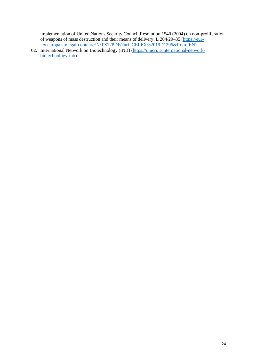implementation of United Nations Security Council Resolution 1540 (2004) on non-proliferation of weapons of mass destruction and their means of delivery. L 204/29–35 [\(https://eur](https://eur-lex.europa.eu/legal-content/EN/TXT/PDF/?uri=CELEX:32019D1296&from=EN)[lex.europa.eu/legal-content/EN/TXT/PDF/?uri=CELEX:32019D1296&from=EN\)](https://eur-lex.europa.eu/legal-content/EN/TXT/PDF/?uri=CELEX:32019D1296&from=EN).

62. International Network on Biotechnology (INB) [\(https://unicri.it/international-network](https://unicri.it/international-network-biotechnology-inb)[biotechnology-inb\)](https://unicri.it/international-network-biotechnology-inb).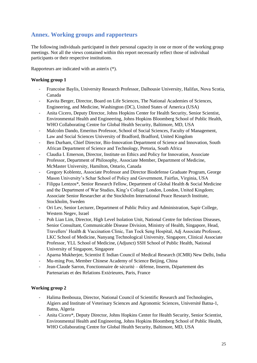# <span id="page-30-0"></span>**Annex. Working groups and rapporteurs**

The following individuals participated in their personal capacity in one or more of the working group meetings. Not all the views contained within this report necessarily reflect those of individual participants or their respective institutions.

Rapporteurs are indicated with an asterix (\*).

### **Working group 1**

- Francoise Baylis, University Research Professor, Dalhousie University, Halifax, Nova Scotia, Canada
- Kavita Berger, Director, Board on Life Sciences, The National Academies of Sciences, Engineering, and Medicine, Washington (DC), United States of America (USA)
- Anita Cicero, Deputy Director, Johns Hopkins Center for Health Security, Senior Scientist, Environmental Health and Engineering, Johns Hopkins Bloomberg School of Public Health, WHO Collaborating Centre for Global Health Security, Baltimore, MD, USA
- Malcolm Dando, Emeritus Professor, School of Social Sciences, Faculty of Management, Law and Social Sciences University of Bradford, Bradford, United Kingdom
- Ben Durham, Chief Director, Bio-Innovation Department of Science and Innovation, South African Department of Science and Technology, Pretoria, South Africa
- Claudia I. Emerson, Director, Institute on Ethics and Policy for Innovation, Associate Professor, Department of Philosophy, Associate Member, Department of Medicine, McMaster University, Hamilton, Ontario, Canada
- Gregory Koblentz, Associate Professor and Director Biodefense Graduate Program, George Mason University's Schar School of Policy and Government, Fairfax, Virginia, USA
- Filippa Lentzos\*, Senior Research Fellow, Department of Global Health & Social Medicine and the Department of War Studies, King's College London, London, United Kingdom; Associate Senior Researcher at the Stockholm International Peace Research Institute, Stockholm, Sweden
- Ori Lev, Senior Lecturer, Department of Public Policy and Administration, Sapir College, Western Negev, Israel
- Poh Lian Lim, Director, High Level Isolation Unit, National Centre for Infectious Diseases, Senior Consultant, Communicable Disease Division, Ministry of Health, Singapore, Head, Travellers' Health & Vaccination Clinic, Tan Tock Seng Hospital, Adj Associate Professor, LKC School of Medicine, Nanyang Technological University, Singapore, Clinical Associate Professor, YLL School of Medicine, (Adjunct) SSH School of Public Health, National University of Singapore, Singapore
- Aparna Mukherjee, Scientist E Indian Council of Medical Research (ICMR) New Delhi, India
- Mu-ming Poo, Member Chinese Academy of Science Beijing, China
- Jean-Claude Sarron, Fonctionnaire de sécurité défense, Inserm, Département des Partenariats et des Relations Extérieures, Paris, France

### **Working group 2**

- Halima Benbouza, Director, National Council of Scientific Research and Technologies, Algiers and Institute of Veterinary Sciences and Agronomic Sciences, Université Batna-1, Batna, Algeria
- Anita Cicero\*, Deputy Director, Johns Hopkins Center for Health Security, Senior Scientist, Environmental Health and Engineering, Johns Hopkins Bloomberg School of Public Health, WHO Collaborating Centre for Global Health Security, Baltimore, MD, USA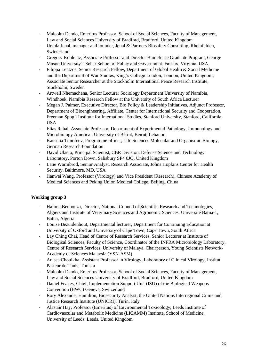- Malcolm Dando, Emeritus Professor, School of Social Sciences, Faculty of Management, Law and Social Sciences University of Bradford, Bradford, United Kingdom
- Ursula Jenal, manager and founder, Jenal & Partners Biosafety Consulting, Rheinfelden, Switzerland
- Gregory Koblentz, Associate Professor and Director Biodefense Graduate Program, George Mason University's Schar School of Policy and Government, Fairfax, Virginia, USA
- Filippa Lentzos, Senior Research Fellow, Department of Global Health & Social Medicine and the Department of War Studies, King's College London, London, United Kingdom; Associate Senior Researcher at the Stockholm International Peace Research Institute, Stockholm, Sweden
- Artwell Nhemachena, Senior Lecturer Sociology Department University of Namibia, Windhoek, Namibia Research Fellow at the University of South Africa Lecturer
- Megan J. Palmer, Executive Director, Bio Policy & Leadership Initiatives, Adjunct Professor, Department of Bioengineering, Affiliate, Center for International Security and Cooperation, Freeman Spogli Institute for International Studies, Stanford University, Stanford, California, USA
- Elias Rahal, Associate Professor, Department of Experimental Pathology, Immunology and Microbiology American University of Beirut, Beirut, Lebanon
- Katarina Timofeev, Programme officer, Life Sciences Molecular and Organismic Biology, German Research Foundation
- David Ulaeto, Principal Scientist, CBR Division, Defense Science and Technology Laboratory, Porton Down, Salisbury SP4 0JQ, United Kingdom
- Lane Warmbrod, Senior Analyst, Research Associate, Johns Hopkins Center for Health Security, Baltimore, MD, USA
- Jianwei Wang, Professor (Virology) and Vice President (Research), Chinese Academy of Medical Sciences and Peking Union Medical College, Beijing, China

## **Working group 3**

- Halima Benbouza, Director, National Council of Scientific Research and Technologies, Algiers and Institute of Veterinary Sciences and Agronomic Sciences, Université Batna-1, Batna, Algeria
- Louise Bezuidenhout, Departmental lecturer, Department for Continuing Education at University of Oxford and University of Cape Town, Cape Town, South Africa
- Lay Ching Chai, Head of Centre of Research Services, Senior Lecturer at Institute of Biological Sciences, Faculty of Science, Coordinator of the INFRA Microbiology Laboratory, Centre of Research Services, University of Malaya. Chairperson, Young Scientists Network-Academy of Sciences Malaysia (YSN-ASM)
- Anissa Chouikha, Assistant Professor in Virology, Laboratory of Clinical Virology, Institut Pasteur de Tunis, Tunisia
- Malcolm Dando, Emeritus Professor, School of Social Sciences, Faculty of Management, Law and Social Sciences University of Bradford, Bradford, United Kingdom
- Daniel Feakes, Chief, Implementation Support Unit (ISU) of the Biological Weapons Convention (BWC) Geneva, Switzerland
- Rory Alexander Hamilton, Biosecurity Analyst, the United Nations Interregional Crime and Justice Research Institute (UNICRI), Turin, Italy
- Alastair Hay, Professor (Emeritus) of Environmental Toxicology, Leeds Institute of Cardiovascular and Metabolic Medicine (LICAMM) Institute, School of Medicine, University of Leeds, Leeds, United Kingdom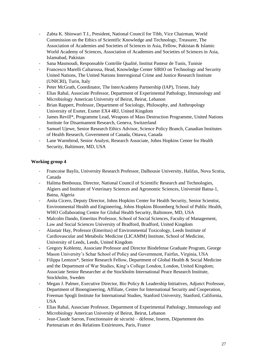- Zabta K. Shinwari T.I., President, National Council for Tibb, Vice Chairman, World Commission on the Ethics of Scientific Knowledge and Technology, Treasurer, The Association of Academies and Societies of Sciences in Asia, Fellow, Pakistan & Islamic World Academy of Sciences, Association of Academies and Societies of Sciences in Asia, Islamabad, Pakistan
- Sana Masmoudi, Responsable Contrôle Qualité, Institut Pasteur de Tunis, Tunisie
- Francesco Marelli Caltarossa, Head, Knowledge Center SIRIO on Technology and Security United Nations, The United Nations Interregional Crime and Justice Research Institute (UNICRI), Turin, Italy
- Peter McGrath, Coordinator, The InterAcademy Partnership (IAP), Trieste, Italy
- Elias Rahal, Associate Professor, Department of Experimental Pathology, Immunology and Microbiology American University of Beirut, Beirut, Lebanon
- Brian Rappert, Professor, Department of Sociology, Philosophy, and Anthropology University of Exeter, Exeter EX4 4RJ, United Kingdom
- James Revill\*, Programme Lead, Weapons of Mass Destruction Programme, United Nations Institute for Disarmament Research, Geneva, Switzerland
- Samuel Ujewe, Senior Research Ethics Advisor, Science Policy Branch, Canadian Institutes of Health Research, Government of Canada, Ottawa, Canada
- Lane Warmbrod, Senior Analyst, Research Associate, Johns Hopkins Center for Health Security, Baltimore, MD, USA

### **Working group 4**

- Francoise Baylis, University Research Professor, Dalhousie University, Halifax, Nova Scotia, Canada
- Halima Benbouza, Director, National Council of Scientific Research and Technologies, Algiers and Institute of Veterinary Sciences and Agronomic Sciences, Université Batna-1, Batna, Algeria
- Anita Cicero, Deputy Director, Johns Hopkins Center for Health Security, Senior Scientist, Environmental Health and Engineering, Johns Hopkins Bloomberg School of Public Health, WHO Collaborating Centre for Global Health Security, Baltimore, MD, USA
- Malcolm Dando, Emeritus Professor, School of Social Sciences, Faculty of Management, Law and Social Sciences University of Bradford, Bradford, United Kingdom
- Alastair Hay, Professor (Emeritus) of Environmental Toxicology, Leeds Institute of Cardiovascular and Metabolic Medicine (LICAMM) Institute, School of Medicine, University of Leeds, Leeds, United Kingdom
- Gregory Koblentz, Associate Professor and Director Biodefense Graduate Program, George Mason University's Schar School of Policy and Government, Fairfax, Virginia, USA
- Filippa Lentzos\*, Senior Research Fellow, Department of Global Health & Social Medicine and the Department of War Studies, King's College London, London, United Kingdom; Associate Senior Researcher at the Stockholm International Peace Research Institute, Stockholm, Sweden
- Megan J. Palmer, Executive Director, Bio Policy & Leadership Initiatives, Adjunct Professor, Department of Bioengineering, Affiliate, Center for International Security and Cooperation, Freeman Spogli Institute for International Studies, Stanford University, Stanford, California, USA
- Elias Rahal, Associate Professor, Department of Experimental Pathology, Immunology and Microbiology American University of Beirut, Beirut, Lebanon
- Jean-Claude Sarron, Fonctionnaire de sécurité défense, Inserm, Département des Partenariats et des Relations Extérieures, Paris, France